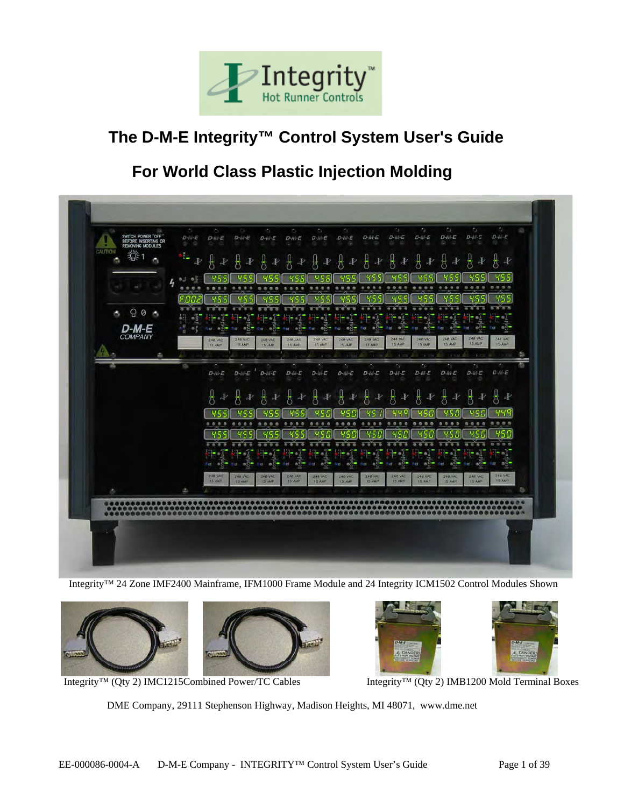

# **The D-M-E Integrity™ Control System User's Guide**

# **For World Class Plastic Injection Molding**



Integrity™ 24 Zone IMF2400 Mainframe, IFM1000 Frame Module and 24 Integrity ICM1502 Control Modules Shown





Integrity™ (Qty 2) IMC1215Combined Power/TC Cables Integrity™ (Qty 2) IMB1200 Mold Terminal Boxes

DME Company, 29111 Stephenson Highway, Madison Heights, MI 48071, www.dme.net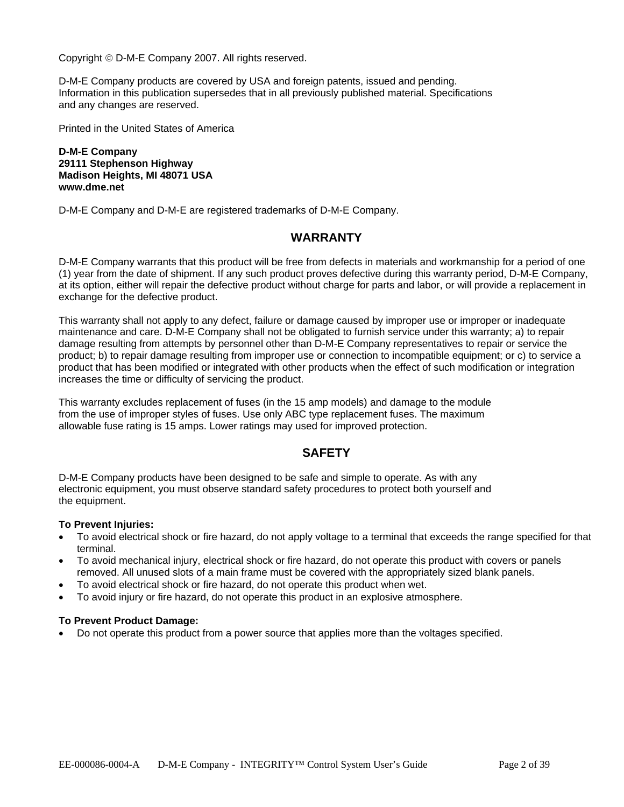Copyright © D-M-E Company 2007. All rights reserved.

D-M-E Company products are covered by USA and foreign patents, issued and pending. Information in this publication supersedes that in all previously published material. Specifications and any changes are reserved.

Printed in the United States of America

**D-M-E Company 29111 Stephenson Highway Madison Heights, MI 48071 USA www.dme.net** 

D-M-E Company and D-M-E are registered trademarks of D-M-E Company.

## **WARRANTY**

D-M-E Company warrants that this product will be free from defects in materials and workmanship for a period of one (1) year from the date of shipment. If any such product proves defective during this warranty period, D-M-E Company, at its option, either will repair the defective product without charge for parts and labor, or will provide a replacement in exchange for the defective product.

This warranty shall not apply to any defect, failure or damage caused by improper use or improper or inadequate maintenance and care. D-M-E Company shall not be obligated to furnish service under this warranty; a) to repair damage resulting from attempts by personnel other than D-M-E Company representatives to repair or service the product; b) to repair damage resulting from improper use or connection to incompatible equipment; or c) to service a product that has been modified or integrated with other products when the effect of such modification or integration increases the time or difficulty of servicing the product.

This warranty excludes replacement of fuses (in the 15 amp models) and damage to the module from the use of improper styles of fuses. Use only ABC type replacement fuses. The maximum allowable fuse rating is 15 amps. Lower ratings may used for improved protection.

## **SAFETY**

D-M-E Company products have been designed to be safe and simple to operate. As with any electronic equipment, you must observe standard safety procedures to protect both yourself and the equipment.

#### **To Prevent Injuries:**

- To avoid electrical shock or fire hazard, do not apply voltage to a terminal that exceeds the range specified for that terminal.
- To avoid mechanical injury, electrical shock or fire hazard, do not operate this product with covers or panels removed. All unused slots of a main frame must be covered with the appropriately sized blank panels.
- To avoid electrical shock or fire hazard, do not operate this product when wet.
- To avoid injury or fire hazard, do not operate this product in an explosive atmosphere.

#### **To Prevent Product Damage:**

• Do not operate this product from a power source that applies more than the voltages specified.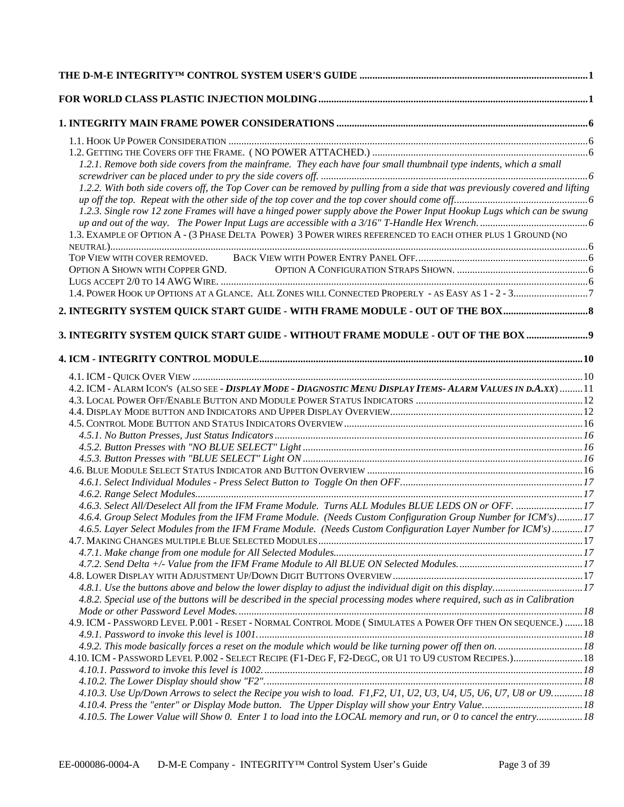| 1.2.1. Remove both side covers from the mainframe. They each have four small thumbnail type indents, which a small                                                                                                           |  |
|------------------------------------------------------------------------------------------------------------------------------------------------------------------------------------------------------------------------------|--|
| 1.2.2. With both side covers off, the Top Cover can be removed by pulling from a side that was previously covered and lifting                                                                                                |  |
|                                                                                                                                                                                                                              |  |
| 1.2.3. Single row 12 zone Frames will have a hinged power supply above the Power Input Hookup Lugs which can be swung                                                                                                        |  |
| 1.3. EXAMPLE OF OPTION A - (3 PHASE DELTA POWER) 3 POWER WIRES REFERENCED TO EACH OTHER PLUS 1 GROUND (NO                                                                                                                    |  |
|                                                                                                                                                                                                                              |  |
|                                                                                                                                                                                                                              |  |
|                                                                                                                                                                                                                              |  |
|                                                                                                                                                                                                                              |  |
| 2. INTEGRITY SYSTEM QUICK START GUIDE - WITH FRAME MODULE - OUT OF THE BOX                                                                                                                                                   |  |
|                                                                                                                                                                                                                              |  |
| 3. INTEGRITY SYSTEM QUICK START GUIDE - WITHOUT FRAME MODULE - OUT OF THE BOX 9                                                                                                                                              |  |
|                                                                                                                                                                                                                              |  |
|                                                                                                                                                                                                                              |  |
| 4.2. ICM - ALARM ICON'S (ALSO SEE - DISPLAY MODE - DIAGNOSTIC MENU DISPLAY ITEMS- ALARM VALUES IN D.A.XX) 11                                                                                                                 |  |
|                                                                                                                                                                                                                              |  |
|                                                                                                                                                                                                                              |  |
|                                                                                                                                                                                                                              |  |
|                                                                                                                                                                                                                              |  |
|                                                                                                                                                                                                                              |  |
|                                                                                                                                                                                                                              |  |
|                                                                                                                                                                                                                              |  |
|                                                                                                                                                                                                                              |  |
|                                                                                                                                                                                                                              |  |
| 4.6.3. Select All/Deselect All from the IFM Frame Module. Turns ALL Modules BLUE LEDS ON or OFF. 17                                                                                                                          |  |
| 4.6.4. Group Select Modules from the IFM Frame Module. (Needs Custom Configuration Group Number for ICM's)17<br>4.6.5. Layer Select Modules from the IFM Frame Module. (Needs Custom Configuration Layer Number for ICM's)17 |  |
|                                                                                                                                                                                                                              |  |
|                                                                                                                                                                                                                              |  |
|                                                                                                                                                                                                                              |  |
|                                                                                                                                                                                                                              |  |
| 4.8.1. Use the buttons above and below the lower display to adjust the individual digit on this display17                                                                                                                    |  |
| 4.8.2. Special use of the buttons will be described in the special processing modes where required, such as in Calibration                                                                                                   |  |
| 4.9. ICM - PASSWORD LEVEL P.001 - RESET - NORMAL CONTROL MODE (SIMULATES A POWER OFF THEN ON SEQUENCE.) 18                                                                                                                   |  |
|                                                                                                                                                                                                                              |  |
|                                                                                                                                                                                                                              |  |
| 4.10. ICM - PASSWORD LEVEL P.002 - SELECT RECIPE (F1-DEG F, F2-DEGC, OR U1 TO U9 CUSTOM RECIPES.) 18                                                                                                                         |  |
|                                                                                                                                                                                                                              |  |
|                                                                                                                                                                                                                              |  |
| 4.10.3. Use Up/Down Arrows to select the Recipe you wish to load. F1,F2, U1, U2, U3, U4, U5, U6, U7, U8 or U918                                                                                                              |  |
|                                                                                                                                                                                                                              |  |
| 4.10.5. The Lower Value will Show 0. Enter 1 to load into the LOCAL memory and run, or 0 to cancel the entry 18                                                                                                              |  |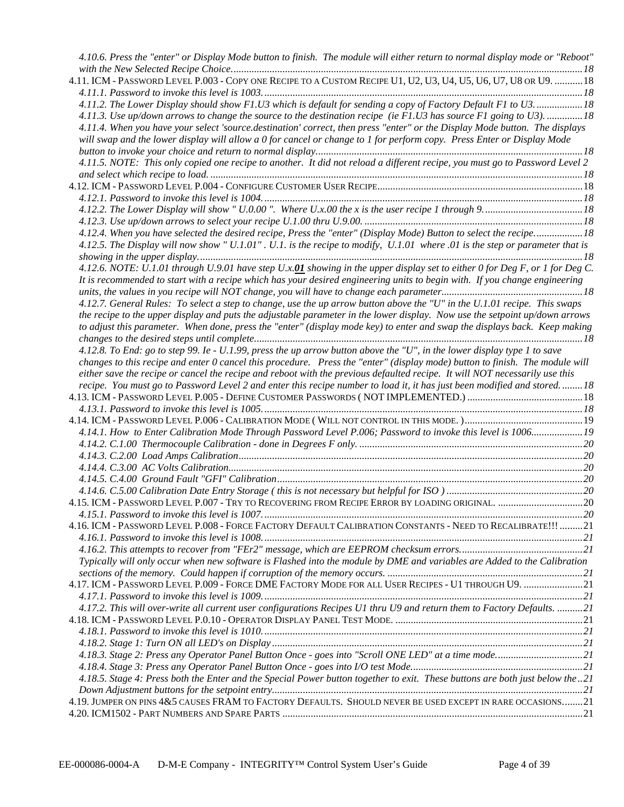| 4.10.6. Press the "enter" or Display Mode button to finish. The module will either return to normal display mode or "Reboot" |  |
|------------------------------------------------------------------------------------------------------------------------------|--|
| 4.11. ICM - PASSWORD LEVEL P.003 - COPY ONE RECIPE TO A CUSTOM RECIPE U1, U2, U3, U4, U5, U6, U7, U8 OR U9.  18              |  |
| 4.11.2. The Lower Display should show F1.U3 which is default for sending a copy of Factory Default F1 to U318                |  |
| 4.11.3. Use up/down arrows to change the source to the destination recipe (ie F1.U3 has source F1 going to U3). 18           |  |
| 4.11.4. When you have your select 'source.destination' correct, then press "enter" or the Display Mode button. The displays  |  |
| will swap and the lower display will allow a 0 for cancel or change to 1 for perform copy. Press Enter or Display Mode       |  |
|                                                                                                                              |  |
| 4.11.5. NOTE: This only copied one recipe to another. It did not reload a different recipe, you must go to Password Level 2  |  |
|                                                                                                                              |  |
|                                                                                                                              |  |
|                                                                                                                              |  |
|                                                                                                                              |  |
|                                                                                                                              |  |
| 4.12.4. When you have selected the desired recipe, Press the "enter" (Display Mode) Button to select the recipe18            |  |
| 4.12.5. The Display will now show " U.1.01". U.1. is the recipe to modify, U.1.01 where 0.0 is the step or parameter that is |  |
|                                                                                                                              |  |
| 4.12.6. NOTE: U.1.01 through U.9.01 have step U.x.01 showing in the upper display set to either 0 for Deg F, or 1 for Deg C. |  |
| It is recommended to start with a recipe which has your desired engineering units to begin with. If you change engineering   |  |
|                                                                                                                              |  |
| 4.12.7. General Rules: To select a step to change, use the up arrow button above the "U" in the U.1.01 recipe. This swaps    |  |
| the recipe to the upper display and puts the adjustable parameter in the lower display. Now use the setpoint up/down arrows  |  |
| to adjust this parameter. When done, press the "enter" (display mode key) to enter and swap the displays back. Keep making   |  |
|                                                                                                                              |  |
| 4.12.8. To End: go to step 99. Ie - U.1.99, press the up arrow button above the "U", in the lower display type 1 to save     |  |
| changes to this recipe and enter 0 cancel this procedure. Press the "enter" (display mode) button to finish. The module will |  |
| either save the recipe or cancel the recipe and reboot with the previous defaulted recipe. It will NOT necessarily use this  |  |
| recipe. You must go to Password Level 2 and enter this recipe number to load it, it has just been modified and stored18      |  |
|                                                                                                                              |  |
|                                                                                                                              |  |
|                                                                                                                              |  |
| 4.14.1. How to Enter Calibration Mode Through Password Level P.006; Password to invoke this level is 1006 19                 |  |
|                                                                                                                              |  |
|                                                                                                                              |  |
|                                                                                                                              |  |
|                                                                                                                              |  |
|                                                                                                                              |  |
| 4.15. ICM - PASSWORD LEVEL P.007 - TRY TO RECOVERING FROM RECIPE ERROR BY LOADING ORIGINAL. 20                               |  |
|                                                                                                                              |  |
| 4.16. ICM - PASSWORD LEVEL P.008 - FORCE FACTORY DEFAULT CALIBRATION CONSTANTS - NEED TO RECALIBRATE!!! 21                   |  |
|                                                                                                                              |  |
|                                                                                                                              |  |
| Typically will only occur when new software is Flashed into the module by DME and variables are Added to the Calibration     |  |
|                                                                                                                              |  |
| 4.17. ICM - PASSWORD LEVEL P.009 - FORCE DME FACTORY MODE FOR ALL USER RECIPES - U1 THROUGH U9. 21                           |  |
|                                                                                                                              |  |
| 4.17.2. This will over-write all current user configurations Recipes U1 thru U9 and return them to Factory Defaults. 21      |  |
|                                                                                                                              |  |
|                                                                                                                              |  |
|                                                                                                                              |  |
| 4.18.3. Stage 2: Press any Operator Panel Button Once - goes into "Scroll ONE LED" at a time mode21                          |  |
|                                                                                                                              |  |
| 4.18.5. Stage 4: Press both the Enter and the Special Power button together to exit. These buttons are both just below the21 |  |
|                                                                                                                              |  |
| 4.19. JUMPER ON PINS 4&5 CAUSES FRAM TO FACTORY DEFAULTS. SHOULD NEVER BE USED EXCEPT IN RARE OCCASIONS21                    |  |
|                                                                                                                              |  |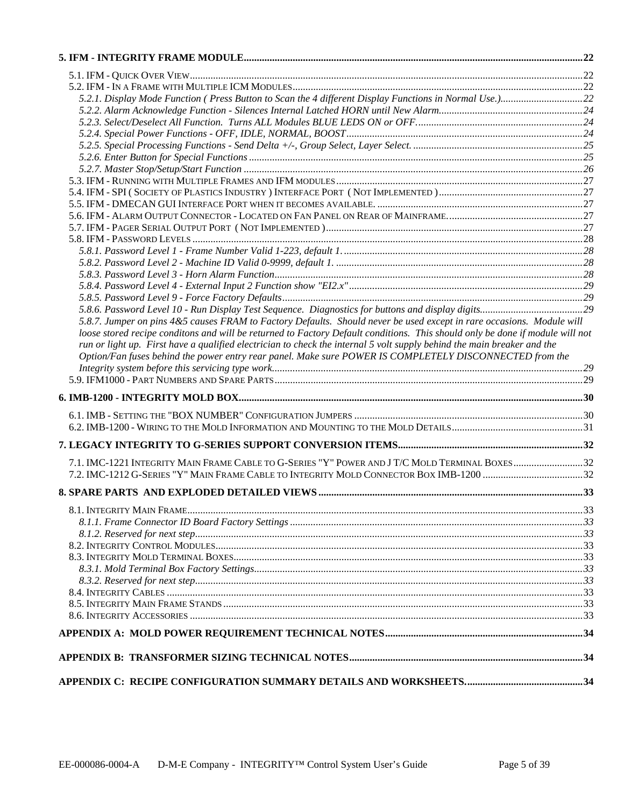| 5.8.7. Jumper on pins 4&5 causes FRAM to Factory Defaults. Should never be used except in rare occasions. Module will         |  |
|-------------------------------------------------------------------------------------------------------------------------------|--|
| loose stored recipe conditons and will be returned to Factory Default conditions. This should only be done if module will not |  |
| run or light up. First have a qualified electrician to check the internal 5 volt supply behind the main breaker and the       |  |
| Option/Fan fuses behind the power entry rear panel. Make sure POWER IS COMPLETELY DISCONNECTED from the                       |  |
|                                                                                                                               |  |
|                                                                                                                               |  |
|                                                                                                                               |  |
|                                                                                                                               |  |
|                                                                                                                               |  |
|                                                                                                                               |  |
|                                                                                                                               |  |
| 7.1. IMC-1221 INTEGRITY MAIN FRAME CABLE TO G-SERIES "Y" POWER AND J T/C MOLD TERMINAL BOXES32                                |  |
|                                                                                                                               |  |
|                                                                                                                               |  |
|                                                                                                                               |  |
|                                                                                                                               |  |
|                                                                                                                               |  |
|                                                                                                                               |  |
|                                                                                                                               |  |
|                                                                                                                               |  |
|                                                                                                                               |  |
|                                                                                                                               |  |
|                                                                                                                               |  |
|                                                                                                                               |  |
|                                                                                                                               |  |
|                                                                                                                               |  |
|                                                                                                                               |  |
|                                                                                                                               |  |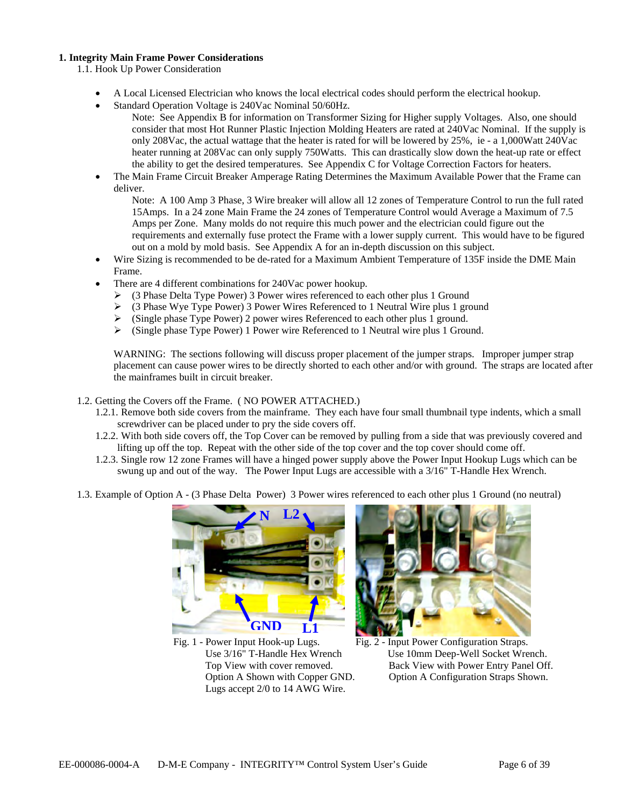#### **1. Integrity Main Frame Power Considerations**

1.1. Hook Up Power Consideration

- A Local Licensed Electrician who knows the local electrical codes should perform the electrical hookup.
- Standard Operation Voltage is 240Vac Nominal 50/60Hz.
	- Note: See Appendix B for information on Transformer Sizing for Higher supply Voltages. Also, one should consider that most Hot Runner Plastic Injection Molding Heaters are rated at 240Vac Nominal. If the supply is only 208Vac, the actual wattage that the heater is rated for will be lowered by 25%, ie - a 1,000Watt 240Vac heater running at 208Vac can only supply 750Watts. This can drastically slow down the heat-up rate or effect the ability to get the desired temperatures. See Appendix C for Voltage Correction Factors for heaters.
- The Main Frame Circuit Breaker Amperage Rating Determines the Maximum Available Power that the Frame can deliver.

Note: A 100 Amp 3 Phase, 3 Wire breaker will allow all 12 zones of Temperature Control to run the full rated 15Amps. In a 24 zone Main Frame the 24 zones of Temperature Control would Average a Maximum of 7.5 Amps per Zone. Many molds do not require this much power and the electrician could figure out the requirements and externally fuse protect the Frame with a lower supply current. This would have to be figured out on a mold by mold basis. See Appendix A for an in-depth discussion on this subject.

- Wire Sizing is recommended to be de-rated for a Maximum Ambient Temperature of 135F inside the DME Main Frame.
- There are 4 different combinations for 240Vac power hookup.
	- $\triangleright$  (3 Phase Delta Type Power) 3 Power wires referenced to each other plus 1 Ground
	- ¾ (3 Phase Wye Type Power) 3 Power Wires Referenced to 1 Neutral Wire plus 1 ground
	- ¾ (Single phase Type Power) 2 power wires Referenced to each other plus 1 ground.
	- $\triangleright$  (Single phase Type Power) 1 Power wire Referenced to 1 Neutral wire plus 1 Ground.

WARNING: The sections following will discuss proper placement of the jumper straps. Improper jumper strap placement can cause power wires to be directly shorted to each other and/or with ground. The straps are located after the mainframes built in circuit breaker.

#### 1.2. Getting the Covers off the Frame. ( NO POWER ATTACHED.)

- 1.2.1. Remove both side covers from the mainframe. They each have four small thumbnail type indents, which a small screwdriver can be placed under to pry the side covers off.
- 1.2.2. With both side covers off, the Top Cover can be removed by pulling from a side that was previously covered and lifting up off the top. Repeat with the other side of the top cover and the top cover should come off.
- 1.2.3. Single row 12 zone Frames will have a hinged power supply above the Power Input Hookup Lugs which can be swung up and out of the way. The Power Input Lugs are accessible with a 3/16" T-Handle Hex Wrench.
- 1.3. Example of Option A (3 Phase Delta Power) 3 Power wires referenced to each other plus 1 Ground (no neutral)



Fig. 1 - Power Input Hook-up Lugs. Fig. 2 - Input Power Configuration Straps. Lugs accept 2/0 to 14 AWG Wire.



 Use 3/16" T-Handle Hex Wrench Use 10mm Deep-Well Socket Wrench. Top View with cover removed. Back View with Power Entry Panel Off. Option A Shown with Copper GND. Option A Configuration Straps Shown.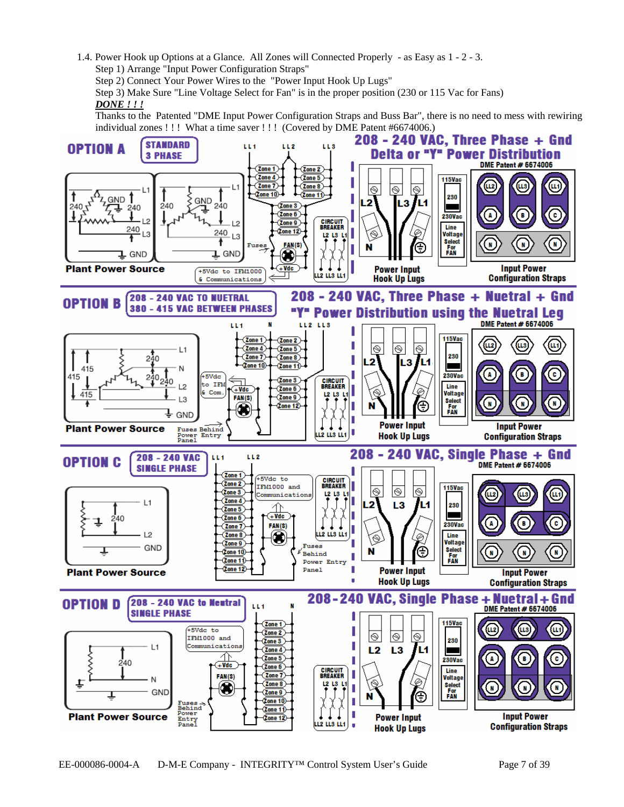1.4. Power Hook up Options at a Glance. All Zones will Connected Properly - as Easy as 1 - 2 - 3. Step 1) Arrange "Input Power Configuration Straps"

Step 2) Connect Your Power Wires to the "Power Input Hook Up Lugs"

Step 3) Make Sure "Line Voltage Select for Fan" is in the proper position (230 or 115 Vac for Fans) *DONE ! ! !*

Thanks to the Patented "DME Input Power Configuration Straps and Buss Bar", there is no need to mess with rewiring individual zones !!! What a time saver !!! (Covered by DME Patent #6674006.)

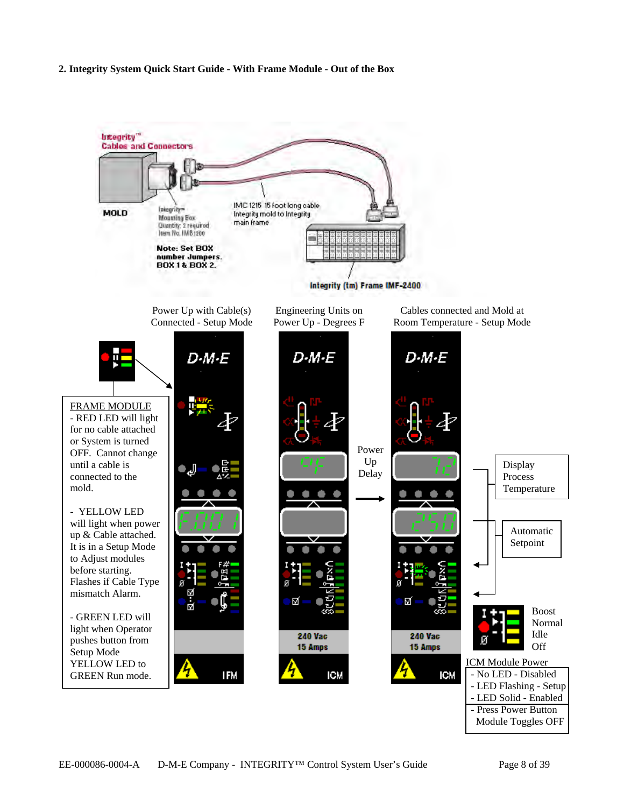#### **2. Integrity System Quick Start Guide - With Frame Module - Out of the Box**

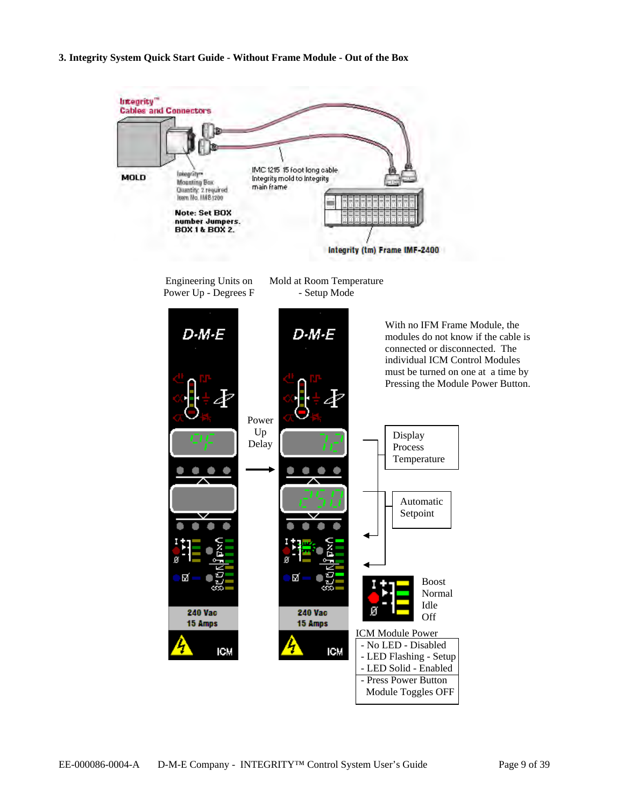**3. Integrity System Quick Start Guide - Without Frame Module - Out of the Box** 

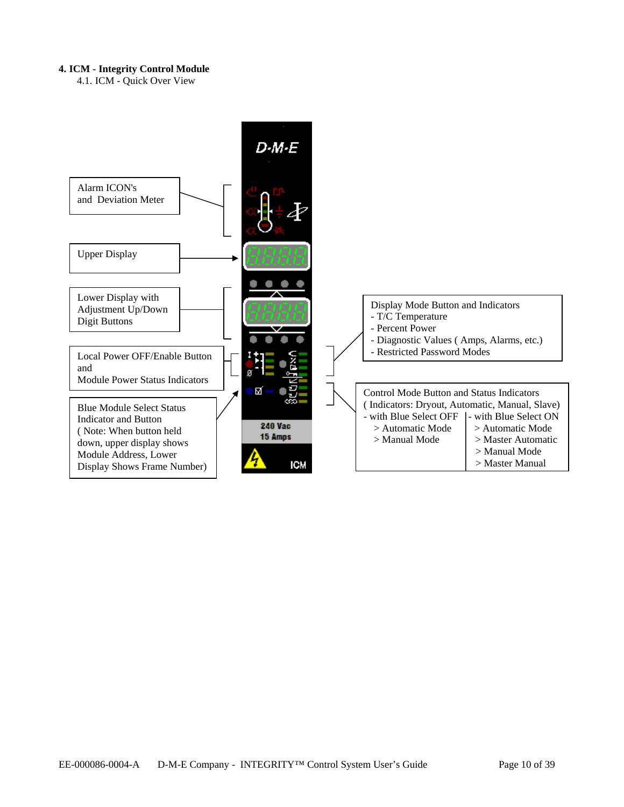#### **4. ICM - Integrity Control Module**

4.1. ICM - Quick Over View

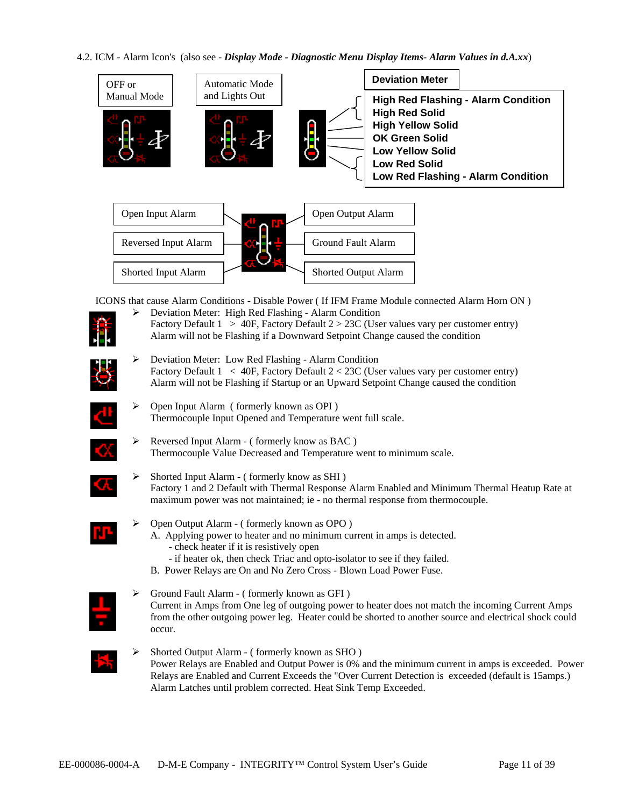#### 4.2. ICM - Alarm Icon's (also see - *Display Mode - Diagnostic Menu Display Items- Alarm Values in d.A.xx*)





ICONS that cause Alarm Conditions - Disable Power ( If IFM Frame Module connected Alarm Horn ON )

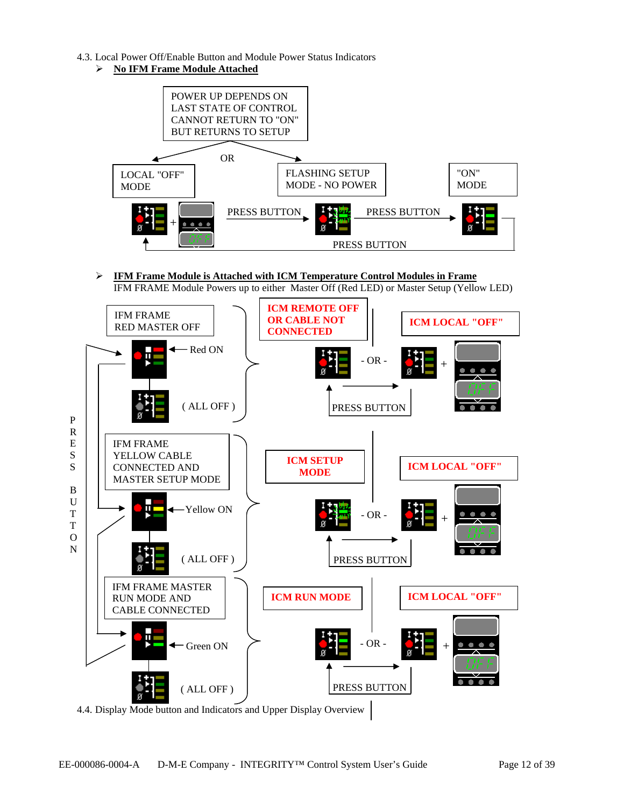- 4.3. Local Power Off/Enable Button and Module Power Status Indicators
	- ¾ **No IFM Frame Module Attached**



¾ **IFM Frame Module is Attached with ICM Temperature Control Modules in Frame**  IFM FRAME Module Powers up to either Master Off (Red LED) or Master Setup (Yellow LED)

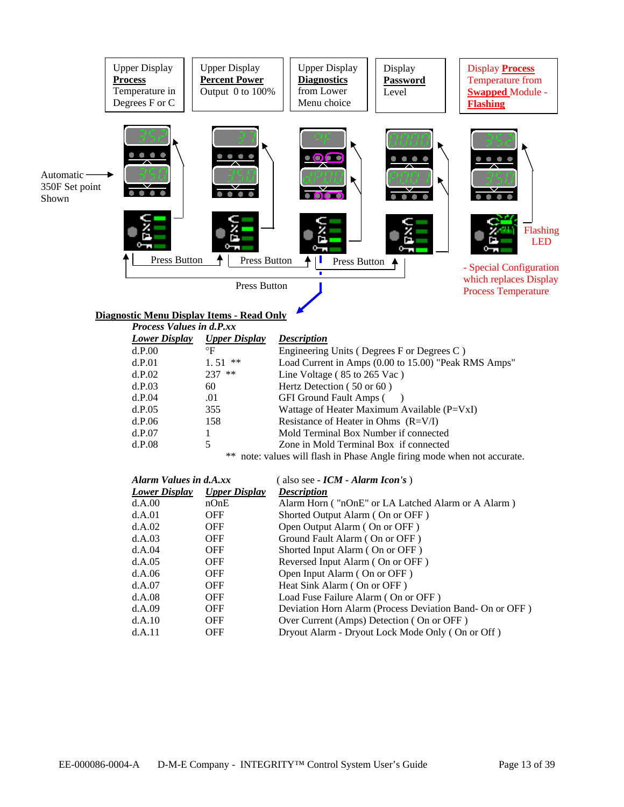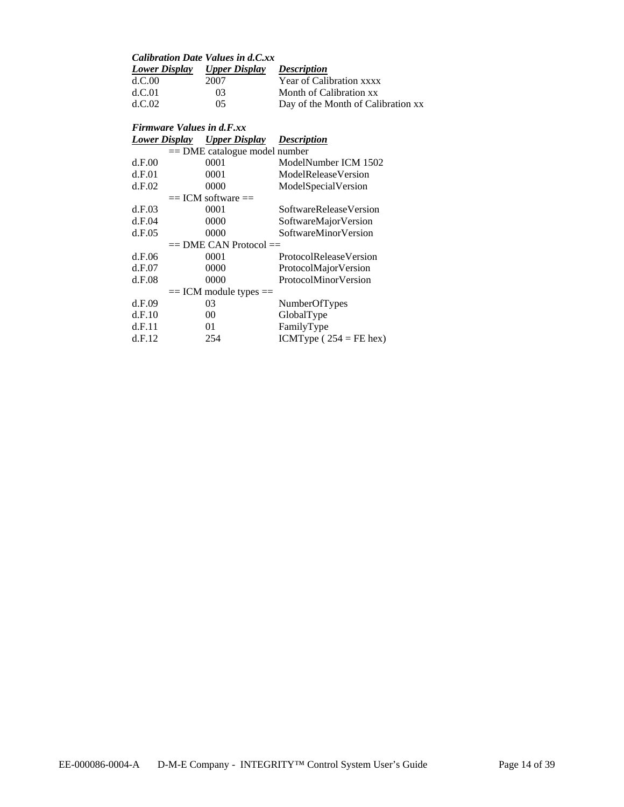| <b>Lower Display</b> |      | <b>Description</b>                                 |
|----------------------|------|----------------------------------------------------|
| d.C.00               | 2007 | Year of Calibration xxxx                           |
| d.C.01               | 03   | Month of Calibration xx                            |
| d C 02.              | 05   | Day of the Month of Calibration xx                 |
|                      |      | Calibration Date Values in d.C.xx<br>Upper Display |

#### *Firmware Values in d.F.xx Lower Display Upper Display Description*

|                                 | Lower Display | $\mathbf{v}$ ppur $\mathbf{v}$ <sub>s</sub> pm $\mathbf{v}$ | DUSU IPIWII                   |  |  |
|---------------------------------|---------------|-------------------------------------------------------------|-------------------------------|--|--|
| $==$ DME catalogue model number |               |                                                             |                               |  |  |
|                                 | d.F.00        | 0001                                                        | ModelNumber ICM 1502          |  |  |
|                                 | d.F.01        | 0001                                                        | ModelReleaseVersion           |  |  |
|                                 | d.F.02        | 0000                                                        | ModelSpecialVersion           |  |  |
|                                 |               | $==$ ICM software $==$                                      |                               |  |  |
|                                 | d.F.03        | 0001                                                        | SoftwareReleaseVersion        |  |  |
|                                 | d.F.04        | 0000                                                        | SoftwareMajorVersion          |  |  |
|                                 | d.F.05        | 0000                                                        | <b>SoftwareMinorVersion</b>   |  |  |
|                                 |               | $==$ DME CAN Protocol $==$                                  |                               |  |  |
|                                 | d.F.06        | 0001                                                        | <b>ProtocolReleaseVersion</b> |  |  |
|                                 | d.F.07        | 0000                                                        | ProtocolMajorVersion          |  |  |
|                                 | d.F.08        | 0000                                                        | ProtocolMinorVersion          |  |  |
|                                 |               | $==$ ICM module types $==$                                  |                               |  |  |
|                                 | d.F.09        | 03                                                          | NumberOfTypes                 |  |  |
|                                 | d.F.10        | 00                                                          | GlobalType                    |  |  |
|                                 | d.F.11        | 01                                                          | FamilyType                    |  |  |
|                                 | d.F.12        | 254                                                         | ICMType $(254 = FE$ hex)      |  |  |
|                                 |               |                                                             |                               |  |  |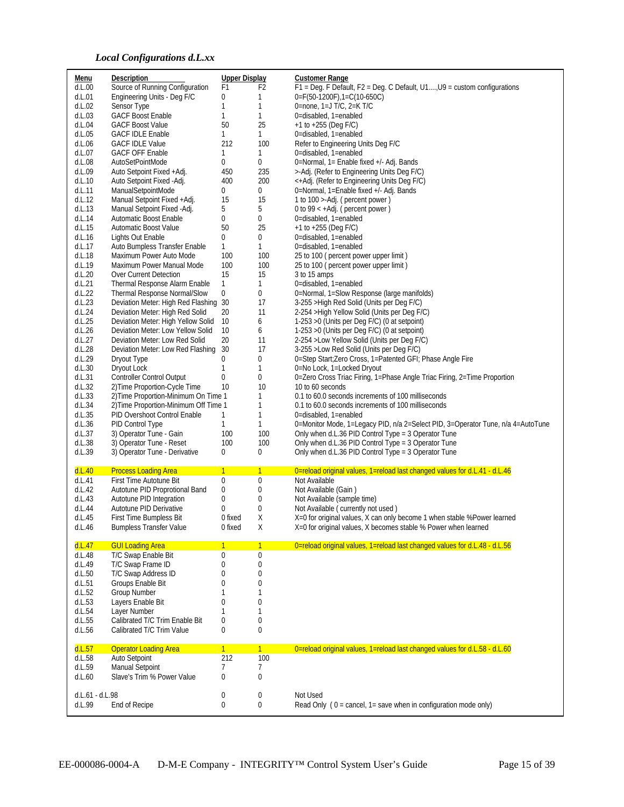## *Local Configurations d.L.xx*

| Menu                      | Description                                                         | <b>Upper Display</b> |                     | <b>Customer Range</b>                                                                    |
|---------------------------|---------------------------------------------------------------------|----------------------|---------------------|------------------------------------------------------------------------------------------|
| d.L.00                    | Source of Running Configuration                                     | F1                   | F2                  | F1 = Deg. F Default, F2 = Deg. C Default, U1, U9 = custom configurations                 |
| d.L.01                    | Engineering Units - Deg F/C                                         | 0                    | 1                   | $0 = F(50-1200F), 1 = C(10-650C)$                                                        |
| d.L.02                    | Sensor Type                                                         | $\mathbf{1}$         | 1                   | 0=none, $1=$ J T/C, $2=$ K T/C                                                           |
| d.L.03                    | <b>GACF Boost Enable</b>                                            | 1                    | $\mathbf{1}$        | 0=disabled, 1=enabled                                                                    |
| d.L.04                    | <b>GACF Boost Value</b>                                             | 50                   | 25                  | $+1$ to $+255$ (Deg F/C)                                                                 |
| d.L.05                    | <b>GACF IDLE Enable</b>                                             | $\mathbf{1}$<br>212  | $\mathbf{1}$<br>100 | 0=disabled, 1=enabled                                                                    |
| d.L.06<br>d.L.07          | <b>GACF IDLE Value</b><br><b>GACF OFF Enable</b>                    | 1                    | $\mathbf{1}$        | Refer to Engineering Units Deg F/C<br>0=disabled, 1=enabled                              |
| d.L.08                    | AutoSetPointMode                                                    | 0                    | 0                   | 0=Normal, 1= Enable fixed +/- Adj. Bands                                                 |
| d.L.09                    | Auto Setpoint Fixed +Adj.                                           | 450                  | 235                 | >-Adj. (Refer to Engineering Units Deg F/C)                                              |
| d.L.10                    | Auto Setpoint Fixed -Adj.                                           | 400                  | 200                 | <+Adj. (Refer to Engineering Units Deg F/C)                                              |
| d.L.11                    | ManualSetpointMode                                                  | 0                    | $\mathbf 0$         | 0=Normal, 1=Enable fixed +/- Adj. Bands                                                  |
| d.L.12                    | Manual Setpoint Fixed +Adj.                                         | 15                   | 15                  | 1 to 100 >-Adj. (percent power)                                                          |
| d.L.13                    | Manual Setpoint Fixed -Adj.                                         | 5                    | 5                   | 0 to 99 $\lt$ +Adj. ( percent power )                                                    |
| d.L.14                    | Automatic Boost Enable                                              | 0                    | 0                   | 0=disabled, 1=enabled                                                                    |
| d.L.15                    | Automatic Boost Value                                               | 50                   | 25                  | $+1$ to $+255$ (Deg F/C)                                                                 |
| d.L.16                    | Lights Out Enable                                                   | 0                    | 0                   | 0=disabled, 1=enabled                                                                    |
| d.L.17                    | Auto Bumpless Transfer Enable                                       | 1                    | $\mathbf{1}$        | 0=disabled, 1=enabled                                                                    |
| d.L.18                    | Maximum Power Auto Mode                                             | 100                  | 100                 | 25 to 100 (percent power upper limit)                                                    |
| d.L.19                    | Maximum Power Manual Mode                                           | 100                  | 100                 | 25 to 100 (percent power upper limit)                                                    |
| d.L.20                    | Over Current Detection                                              | 15                   | 15                  | 3 to 15 amps                                                                             |
| d.L.21                    | Thermal Response Alarm Enable                                       | $\mathbf{1}$         | $\mathbf{1}$        | 0=disabled, 1=enabled                                                                    |
| d.L.22                    | Thermal Response Normal/Slow                                        | 0                    | 0                   | 0=Normal, 1=Slow Response (large manifolds)                                              |
| d.L.23                    | Deviation Meter: High Red Flashing 30                               |                      | 17                  | 3-255 > High Red Solid (Units per Deg F/C)                                               |
| d.L.24                    | Deviation Meter: High Red Solid                                     | 20                   | 11                  | 2-254 > High Yellow Solid (Units per Deg F/C)                                            |
| d.L.25                    | Deviation Meter: High Yellow Solid                                  | 10                   | 6                   | 1-253 > 0 (Units per Deg F/C) (0 at setpoint)                                            |
| d.L.26                    | Deviation Meter: Low Yellow Solid<br>Deviation Meter: Low Red Solid | 10<br>20             | 6<br>11             | 1-253 > 0 (Units per Deg F/C) (0 at setpoint)                                            |
| d.L.27<br>d.L.28          | Deviation Meter: Low Red Flashing                                   | 30                   | 17                  | 2-254 >Low Yellow Solid (Units per Deg F/C)<br>3-255 > Low Red Solid (Units per Deg F/C) |
| d.L.29                    | Dryout Type                                                         | 0                    | 0                   | 0=Step Start; Zero Cross, 1=Patented GFI; Phase Angle Fire                               |
| d.L.30                    | Dryout Lock                                                         | 1                    | 1                   | 0=No Lock, 1=Locked Dryout                                                               |
| d.L.31                    | <b>Controller Control Output</b>                                    | 0                    | 0                   | 0=Zero Cross Triac Firing, 1=Phase Angle Triac Firing, 2=Time Proportion                 |
| d.L.32                    | 2) Time Proportion-Cycle Time                                       | 10                   | 10                  | 10 to 60 seconds                                                                         |
| d.L.33                    | 2) Time Proportion-Minimum On Time 1                                |                      | 1                   | 0.1 to 60.0 seconds increments of 100 milliseconds                                       |
| d.L.34                    | 2) Time Proportion-Minimum Off Time 1                               |                      | 1                   | 0.1 to 60.0 seconds increments of 100 milliseconds                                       |
| d.L.35                    | PID Overshoot Control Enable                                        | 1                    | 1                   | 0=disabled, 1=enabled                                                                    |
| d.L.36                    | PID Control Type                                                    | $\mathbf{1}$         | $\mathbf{1}$        | 0=Monitor Mode, 1=Legacy PID, n/a 2=Select PID, 3=Operator Tune, n/a 4=AutoTune          |
| d.L.37                    | 3) Operator Tune - Gain                                             | 100                  | 100                 | Only when d.L.36 PID Control Type = 3 Operator Tune                                      |
| d.L.38                    | 3) Operator Tune - Reset                                            | 100                  | 100                 | Only when d.L.36 PID Control Type = 3 Operator Tune                                      |
| d.L.39                    | 3) Operator Tune - Derivative                                       | 0                    | $\mathbf 0$         | Only when d.L.36 PID Control Type = 3 Operator Tune                                      |
| d.L.40                    | <b>Process Loading Area</b>                                         | $\mathbf{1}$         | $\mathbf{1}$        | 0=reload original values, 1=reload last changed values for d.L.41 - d.L.46               |
| d.L.41                    | First Time Autotune Bit                                             | 0                    | 0                   | Not Available                                                                            |
| d.L.42                    | Autotune PID Proprotional Band                                      | 0                    | 0                   | Not Available (Gain)                                                                     |
| d.L.43                    | Autotune PID Integration                                            | 0                    | 0                   | Not Available (sample time)                                                              |
| d.L.44                    | Autotune PID Derivative                                             | 0                    | 0                   | Not Available (currently not used)                                                       |
| d.L.45                    | First Time Bumpless Bit                                             | 0 fixed              | Χ                   | X=0 for original values, X can only become 1 when stable %Power learned                  |
| d.L.46                    | <b>Bumpless Transfer Value</b>                                      | 0 fixed              | Χ                   | X=0 for original values, X becomes stable % Power when learned                           |
|                           |                                                                     |                      |                     |                                                                                          |
| d.L.47<br>d.L.48          | <b>GUI Loading Area</b><br>T/C Swap Enable Bit                      | $\mathbf{1}$<br>0    | $\mathbf{1}$<br>0   | 0=reload original values, 1=reload last changed values for d.L.48 - d.L.56               |
| d.L.49                    | T/C Swap Frame ID                                                   | 0                    | $\boldsymbol{0}$    |                                                                                          |
| d.L.50                    | T/C Swap Address ID                                                 | 0                    | 0                   |                                                                                          |
| d.L.51                    | Groups Enable Bit                                                   | 0                    | 0                   |                                                                                          |
| d.L.52                    | <b>Group Number</b>                                                 | 1                    | 1                   |                                                                                          |
| d.L.53                    | Layers Enable Bit                                                   | $\overline{0}$       | $\bf{0}$            |                                                                                          |
| d.L.54                    | Layer Number                                                        | 1                    | 1                   |                                                                                          |
| d.L.55                    | Calibrated T/C Trim Enable Bit                                      | $\mathbf 0$          | $\mathbf 0$         |                                                                                          |
| d.L.56                    | Calibrated T/C Trim Value                                           | 0                    | $\bf{0}$            |                                                                                          |
| d.L.57                    | <b>Operator Loading Area</b>                                        | $\mathbf{1}$         | 1                   | 0=reload original values, 1=reload last changed values for d.L.58 - d.L.60               |
| d.L.58                    | Auto Setpoint                                                       | 212                  | 100                 |                                                                                          |
| d.L.59                    | Manual Setpoint                                                     | 7                    | 7                   |                                                                                          |
| d.L.60                    | Slave's Trim % Power Value                                          | $\overline{0}$       | $\bf{0}$            |                                                                                          |
|                           |                                                                     |                      |                     |                                                                                          |
| d.L.61 - d.L.98<br>d.L.99 | End of Recipe                                                       | 0<br>0               | 0<br>0              | Not Used<br>Read Only ( $0 =$ cancel, $1 =$ save when in configuration mode only)        |
|                           |                                                                     |                      |                     |                                                                                          |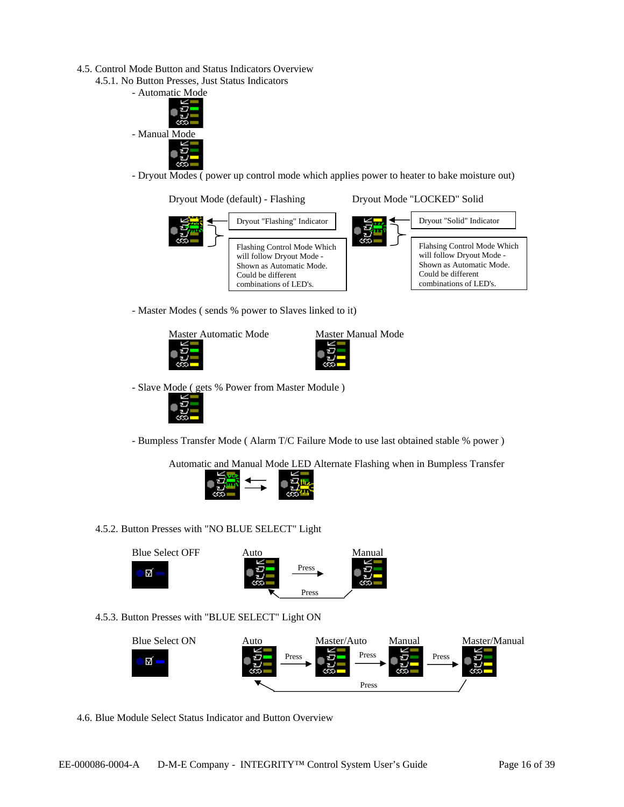- 4.5. Control Mode Button and Status Indicators Overview
	- 4.5.1. No Button Presses, Just Status Indicators



- Dryout Modes ( power up control mode which applies power to heater to bake moisture out)



- Master Modes ( sends % power to Slaves linked to it)



- Slave Mode ( gets % Power from Master Module )



- Bumpless Transfer Mode ( Alarm T/C Failure Mode to use last obtained stable % power )

Automatic and Manual Mode LED Alternate Flashing when in Bumpless Transfer



4.5.2. Button Presses with "NO BLUE SELECT" Light



## 4.5.3. Button Presses with "BLUE SELECT" Light ON



4.6. Blue Module Select Status Indicator and Button Overview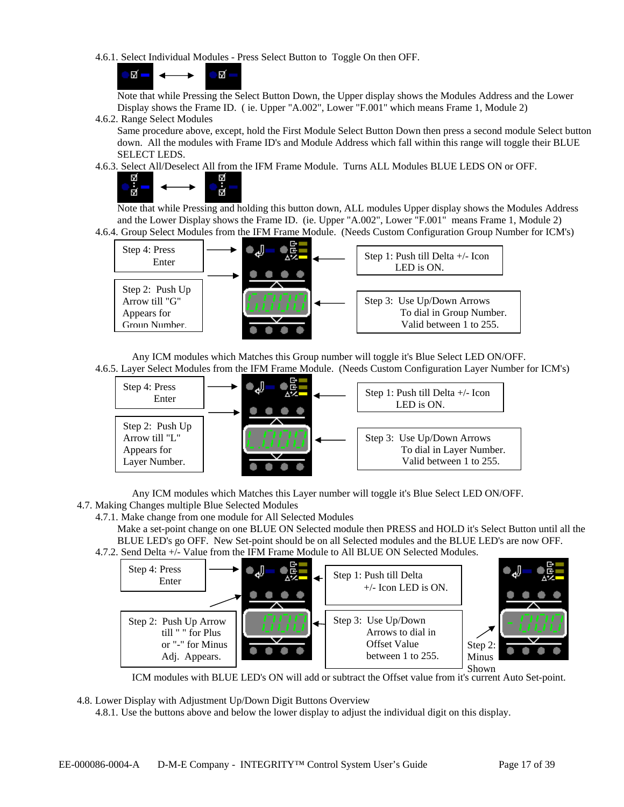4.6.1. Select Individual Modules - Press Select Button to Toggle On then OFF.

π. Ñ, ÷.

 Note that while Pressing the Select Button Down, the Upper display shows the Modules Address and the Lower Display shows the Frame ID. ( ie. Upper "A.002", Lower "F.001" which means Frame 1, Module 2)

4.6.2. Range Select Modules

Same procedure above, except, hold the First Module Select Button Down then press a second module Select button down. All the modules with Frame ID's and Module Address which fall within this range will toggle their BLUE SELECT LEDS.

4.6.3. Select All/Deselect All from the IFM Frame Module. Turns ALL Modules BLUE LEDS ON or OFF.



 $\overrightarrow{H}$  Note that while Pressing and holding this button down, ALL modules Upper display shows the Modules Address and the Lower Display shows the Frame ID. (ie. Upper "A.002", Lower "F.001" means Frame 1, Module 2) 4.6.4. Group Select Modules from the IFM Frame Module. (Needs Custom Configuration Group Number for ICM's)



 Any ICM modules which Matches this Group number will toggle it's Blue Select LED ON/OFF. 4.6.5. Layer Select Modules from the IFM Frame Module. (Needs Custom Configuration Layer Number for ICM's)



Any ICM modules which Matches this Layer number will toggle it's Blue Select LED ON/OFF.

4.7. Making Changes multiple Blue Selected Modules

4.7.1. Make change from one module for All Selected Modules

Make a set-point change on one BLUE ON Selected module then PRESS and HOLD it's Select Button until all the BLUE LED's go OFF. New Set-point should be on all Selected modules and the BLUE LED's are now OFF. 4.7.2. Send Delta +/- Value from the IFM Frame Module to All BLUE ON Selected Modules.



ICM modules with BLUE LED's ON will add or subtract the Offset value from it's current Auto Set-point.

4.8. Lower Display with Adjustment Up/Down Digit Buttons Overview

4.8.1. Use the buttons above and below the lower display to adjust the individual digit on this display.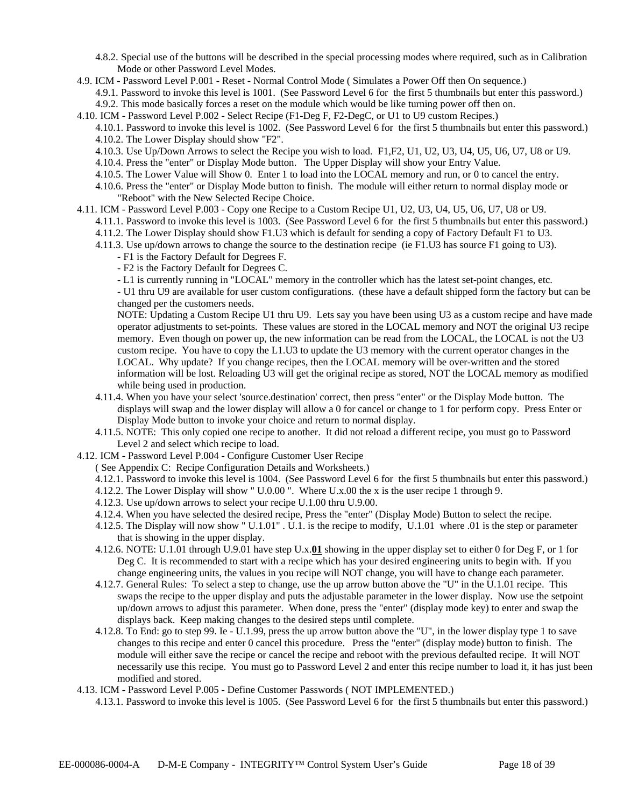- 4.8.2. Special use of the buttons will be described in the special processing modes where required, such as in Calibration Mode or other Password Level Modes.
- 4.9. ICM Password Level P.001 Reset Normal Control Mode ( Simulates a Power Off then On sequence.)

4.9.1. Password to invoke this level is 1001. (See Password Level 6 for the first 5 thumbnails but enter this password.) 4.9.2. This mode basically forces a reset on the module which would be like turning power off then on.

- 4.10. ICM Password Level P.002 Select Recipe (F1-Deg F, F2-DegC, or U1 to U9 custom Recipes.)
	- 4.10.1. Password to invoke this level is 1002. (See Password Level 6 for the first 5 thumbnails but enter this password.) 4.10.2. The Lower Display should show "F2".
	- 4.10.3. Use Up/Down Arrows to select the Recipe you wish to load. F1,F2, U1, U2, U3, U4, U5, U6, U7, U8 or U9.
	- 4.10.4. Press the "enter" or Display Mode button. The Upper Display will show your Entry Value.
	- 4.10.5. The Lower Value will Show 0. Enter 1 to load into the LOCAL memory and run, or 0 to cancel the entry.
	- 4.10.6. Press the "enter" or Display Mode button to finish. The module will either return to normal display mode or "Reboot" with the New Selected Recipe Choice.
- 4.11. ICM Password Level P.003 Copy one Recipe to a Custom Recipe U1, U2, U3, U4, U5, U6, U7, U8 or U9.
	- 4.11.1. Password to invoke this level is 1003. (See Password Level 6 for the first 5 thumbnails but enter this password.)
	- 4.11.2. The Lower Display should show F1.U3 which is default for sending a copy of Factory Default F1 to U3.
	- 4.11.3. Use up/down arrows to change the source to the destination recipe (ie F1.U3 has source F1 going to U3).
		- F1 is the Factory Default for Degrees F.
		- F2 is the Factory Default for Degrees C.
		- L1 is currently running in "LOCAL" memory in the controller which has the latest set-point changes, etc.

- U1 thru U9 are available for user custom configurations. (these have a default shipped form the factory but can be changed per the customers needs.

NOTE: Updating a Custom Recipe U1 thru U9. Lets say you have been using U3 as a custom recipe and have made operator adjustments to set-points. These values are stored in the LOCAL memory and NOT the original U3 recipe memory. Even though on power up, the new information can be read from the LOCAL, the LOCAL is not the U3 custom recipe. You have to copy the L1.U3 to update the U3 memory with the current operator changes in the LOCAL. Why update? If you change recipes, then the LOCAL memory will be over-written and the stored information will be lost. Reloading U3 will get the original recipe as stored, NOT the LOCAL memory as modified while being used in production.

- 4.11.4. When you have your select 'source.destination' correct, then press "enter" or the Display Mode button. The displays will swap and the lower display will allow a 0 for cancel or change to 1 for perform copy. Press Enter or Display Mode button to invoke your choice and return to normal display.
- 4.11.5. NOTE: This only copied one recipe to another. It did not reload a different recipe, you must go to Password Level 2 and select which recipe to load.
- 4.12. ICM Password Level P.004 Configure Customer User Recipe
	- ( See Appendix C: Recipe Configuration Details and Worksheets.)
	- 4.12.1. Password to invoke this level is 1004. (See Password Level 6 for the first 5 thumbnails but enter this password.)
	- 4.12.2. The Lower Display will show " U.0.00 ". Where U.x.00 the x is the user recipe 1 through 9.
	- 4.12.3. Use up/down arrows to select your recipe U.1.00 thru U.9.00.
	- 4.12.4. When you have selected the desired recipe, Press the "enter" (Display Mode) Button to select the recipe.
	- 4.12.5. The Display will now show " U.1.01" . U.1. is the recipe to modify, U.1.01 where .01 is the step or parameter that is showing in the upper display.
	- 4.12.6. NOTE: U.1.01 through U.9.01 have step U.x.**01** showing in the upper display set to either 0 for Deg F, or 1 for Deg C. It is recommended to start with a recipe which has your desired engineering units to begin with. If you change engineering units, the values in you recipe will NOT change, you will have to change each parameter.
	- 4.12.7. General Rules: To select a step to change, use the up arrow button above the "U" in the U.1.01 recipe. This swaps the recipe to the upper display and puts the adjustable parameter in the lower display. Now use the setpoint up/down arrows to adjust this parameter. When done, press the "enter" (display mode key) to enter and swap the displays back. Keep making changes to the desired steps until complete.
	- 4.12.8. To End: go to step 99. Ie U.1.99, press the up arrow button above the "U", in the lower display type 1 to save changes to this recipe and enter 0 cancel this procedure. Press the "enter" (display mode) button to finish. The module will either save the recipe or cancel the recipe and reboot with the previous defaulted recipe. It will NOT necessarily use this recipe. You must go to Password Level 2 and enter this recipe number to load it, it has just been modified and stored.
- 4.13. ICM Password Level P.005 Define Customer Passwords ( NOT IMPLEMENTED.)
	- 4.13.1. Password to invoke this level is 1005. (See Password Level 6 for the first 5 thumbnails but enter this password.)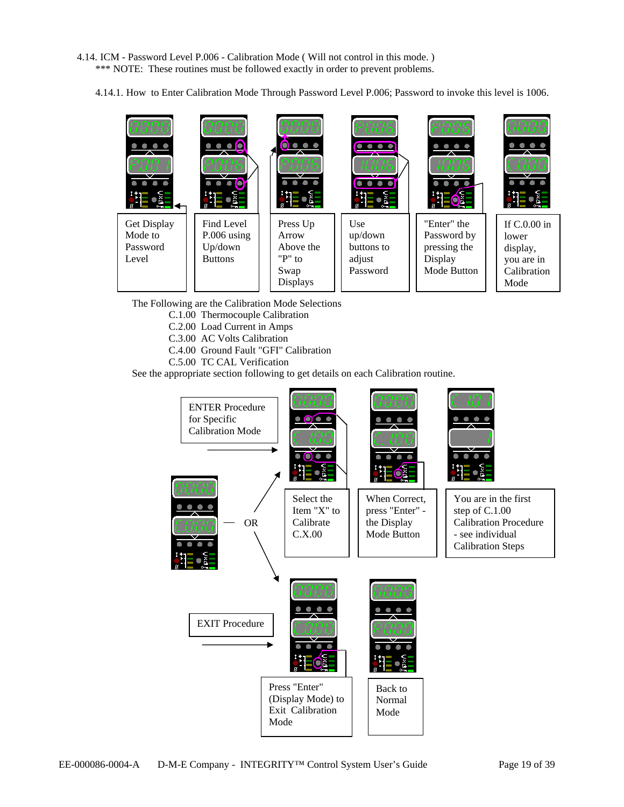4.14. ICM - Password Level P.006 - Calibration Mode ( Will not control in this mode. ) \*\*\* NOTE: These routines must be followed exactly in order to prevent problems.

4.14.1. How to Enter Calibration Mode Through Password Level P.006; Password to invoke this level is 1006.



The Following are the Calibration Mode Selections

- C.1.00 Thermocouple Calibration
- C.2.00 Load Current in Amps
- C.3.00 AC Volts Calibration
- C.4.00 Ground Fault "GFI" Calibration
- C.5.00 TC CAL Verification

See the appropriate section following to get details on each Calibration routine.

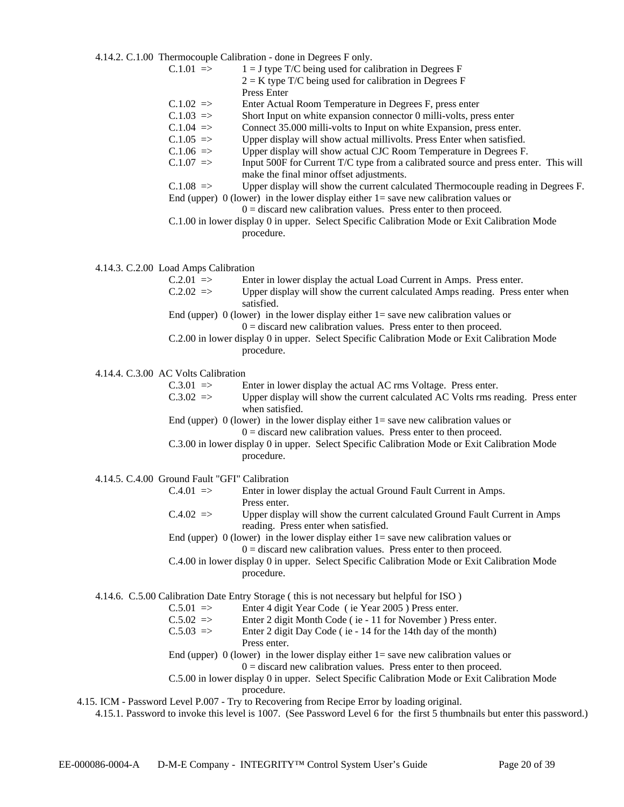4.14.2. C.1.00 Thermocouple Calibration - done in Degrees F only.

| $C.1.01 \implies$ | $1 = J$ type T/C being used for calibration in Degrees F                            |
|-------------------|-------------------------------------------------------------------------------------|
|                   | $2 = K$ type T/C being used for calibration in Degrees F                            |
|                   | Press Enter                                                                         |
| $C.1.02$ =>       | Enter Actual Room Temperature in Degrees F, press enter                             |
| $C.1.03$ =>       | Short Input on white expansion connector 0 milli-volts, press enter                 |
| $C.1.04 = >$      | Connect 35.000 milli-volts to Input on white Expansion, press enter.                |
| $C.1.05 = >$      | Upper display will show actual millivolts. Press Enter when satisfied.              |
| $C.1.06 = >$      | Upper display will show actual CJC Room Temperature in Degrees F.                   |
| $C.1.07 = >$      | Input 500F for Current T/C type from a calibrated source and press enter. This will |
|                   | make the final minor offset adjustments.                                            |

 $C.1.08$  => Upper display will show the current calculated Thermocouple reading in Degrees F. End (upper) 0 (lower) in the lower display either  $1 =$  save new calibration values or

- $0 =$  discard new calibration values. Press enter to then proceed.
- C.1.00 in lower display 0 in upper. Select Specific Calibration Mode or Exit Calibration Mode procedure.

4.14.3. C.2.00 Load Amps Calibration

| $C.2.01$ => | Enter in lower display the actual Load Current in Amps. Press enter.                   |  |  |  |  |
|-------------|----------------------------------------------------------------------------------------|--|--|--|--|
| $C.2.02$ => | Upper display will show the current calculated Amps reading. Press enter when          |  |  |  |  |
| satisfied.  |                                                                                        |  |  |  |  |
|             | End (upper) 0 (lower) in the lower display either $1 =$ save new calibration values or |  |  |  |  |
|             |                                                                                        |  |  |  |  |

- $0 =$  discard new calibration values. Press enter to then proceed.
- C.2.00 in lower display 0 in upper. Select Specific Calibration Mode or Exit Calibration Mode procedure.

4.14.4. C.3.00 AC Volts Calibration

| $C.3.01$ => | Enter in lower display the actual AC rms Voltage. Press enter.                   |
|-------------|----------------------------------------------------------------------------------|
| $C.3.02$ => | Upper display will show the current calculated AC Volts rms reading. Press enter |
|             | when satisfied.                                                                  |
|             |                                                                                  |

End (upper) 0 (lower) in the lower display either  $1 =$  save new calibration values or  $0 =$  discard new calibration values. Press enter to then proceed.

C.3.00 in lower display 0 in upper. Select Specific Calibration Mode or Exit Calibration Mode procedure.

4.14.5. C.4.00 Ground Fault "GFI" Calibration

| $C.4.01$ => | Enter in lower display the actual Ground Fault Current in Amps. |
|-------------|-----------------------------------------------------------------|
|             | Press enter.                                                    |

 $C.4.02$  => Upper display will show the current calculated Ground Fault Current in Amps reading. Press enter when satisfied.

End (upper) 0 (lower) in the lower display either  $1 =$  save new calibration values or  $0 =$  discard new calibration values. Press enter to then proceed.

C.4.00 in lower display 0 in upper. Select Specific Calibration Mode or Exit Calibration Mode procedure.

4.14.6. C.5.00 Calibration Date Entry Storage ( this is not necessary but helpful for ISO )

C.5.01 => Enter 4 digit Year Code ( ie Year 2005 ) Press enter.

- C.5.02 => Enter 2 digit Month Code ( ie 11 for November ) Press enter.
- $C.5.03$  => Enter 2 digit Day Code (ie 14 for the 14th day of the month) Press enter.

End (upper) 0 (lower) in the lower display either  $1 =$  save new calibration values or

 $0 =$  discard new calibration values. Press enter to then proceed.

C.5.00 in lower display 0 in upper. Select Specific Calibration Mode or Exit Calibration Mode procedure.

4.15. ICM - Password Level P.007 - Try to Recovering from Recipe Error by loading original.

4.15.1. Password to invoke this level is 1007. (See Password Level 6 for the first 5 thumbnails but enter this password.)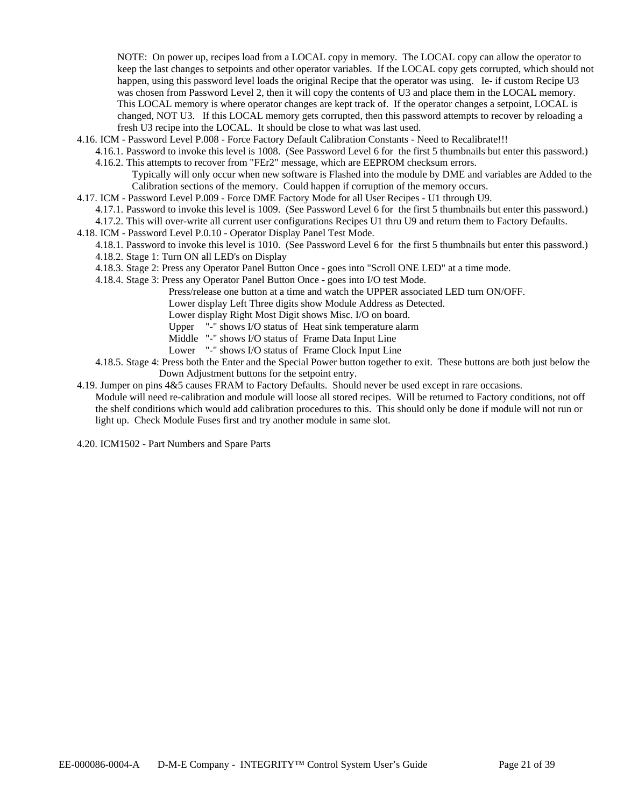NOTE: On power up, recipes load from a LOCAL copy in memory. The LOCAL copy can allow the operator to keep the last changes to setpoints and other operator variables. If the LOCAL copy gets corrupted, which should not happen, using this password level loads the original Recipe that the operator was using. Ie- if custom Recipe U3 was chosen from Password Level 2, then it will copy the contents of U3 and place them in the LOCAL memory. This LOCAL memory is where operator changes are kept track of. If the operator changes a setpoint, LOCAL is changed, NOT U3. If this LOCAL memory gets corrupted, then this password attempts to recover by reloading a fresh U3 recipe into the LOCAL. It should be close to what was last used.

- 4.16. ICM Password Level P.008 Force Factory Default Calibration Constants Need to Recalibrate!!!
	- 4.16.1. Password to invoke this level is 1008. (See Password Level 6 for the first 5 thumbnails but enter this password.) 4.16.2. This attempts to recover from "FEr2" message, which are EEPROM checksum errors.

Typically will only occur when new software is Flashed into the module by DME and variables are Added to the Calibration sections of the memory. Could happen if corruption of the memory occurs.

4.17. ICM - Password Level P.009 - Force DME Factory Mode for all User Recipes - U1 through U9.

4.17.1. Password to invoke this level is 1009. (See Password Level 6 for the first 5 thumbnails but enter this password.)

- 4.17.2. This will over-write all current user configurations Recipes U1 thru U9 and return them to Factory Defaults.
- 4.18. ICM Password Level P.0.10 Operator Display Panel Test Mode.
	- 4.18.1. Password to invoke this level is 1010. (See Password Level 6 for the first 5 thumbnails but enter this password.)
		- 4.18.2. Stage 1: Turn ON all LED's on Display
		- 4.18.3. Stage 2: Press any Operator Panel Button Once goes into "Scroll ONE LED" at a time mode.
		- 4.18.4. Stage 3: Press any Operator Panel Button Once goes into I/O test Mode.
			- Press/release one button at a time and watch the UPPER associated LED turn ON/OFF.

Lower display Left Three digits show Module Address as Detected.

Lower display Right Most Digit shows Misc. I/O on board.

Upper "-" shows I/O status of Heat sink temperature alarm

Middle "-" shows I/O status of Frame Data Input Line

Lower "-" shows I/O status of Frame Clock Input Line

4.18.5. Stage 4: Press both the Enter and the Special Power button together to exit. These buttons are both just below the Down Adjustment buttons for the setpoint entry.

4.19. Jumper on pins 4&5 causes FRAM to Factory Defaults. Should never be used except in rare occasions.

Module will need re-calibration and module will loose all stored recipes. Will be returned to Factory conditions, not off the shelf conditions which would add calibration procedures to this. This should only be done if module will not run or light up. Check Module Fuses first and try another module in same slot.

4.20. ICM1502 - Part Numbers and Spare Parts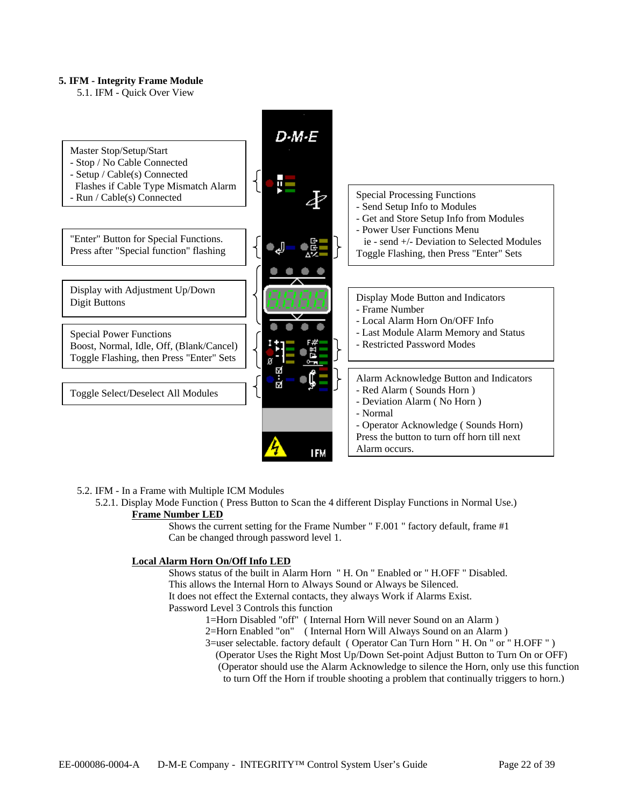#### **5. IFM - Integrity Frame Module**

5.1. IFM - Quick Over View



#### 5.2. IFM - In a Frame with Multiple ICM Modules

5.2.1. Display Mode Function ( Press Button to Scan the 4 different Display Functions in Normal Use.) **Frame Number LED**

> Shows the current setting for the Frame Number " F.001 " factory default, frame #1 Can be changed through password level 1.

#### **Local Alarm Horn On/Off Info LED**

Shows status of the built in Alarm Horn " H. On " Enabled or " H.OFF " Disabled.

This allows the Internal Horn to Always Sound or Always be Silenced.

It does not effect the External contacts, they always Work if Alarms Exist.

Password Level 3 Controls this function

- 1=Horn Disabled "off" ( Internal Horn Will never Sound on an Alarm )
- 2=Horn Enabled "on" ( Internal Horn Will Always Sound on an Alarm )
- 3=user selectable. factory default ( Operator Can Turn Horn " H. On " or " H.OFF " )
	- (Operator Uses the Right Most Up/Down Set-point Adjust Button to Turn On or OFF) (Operator should use the Alarm Acknowledge to silence the Horn, only use this function to turn Off the Horn if trouble shooting a problem that continually triggers to horn.)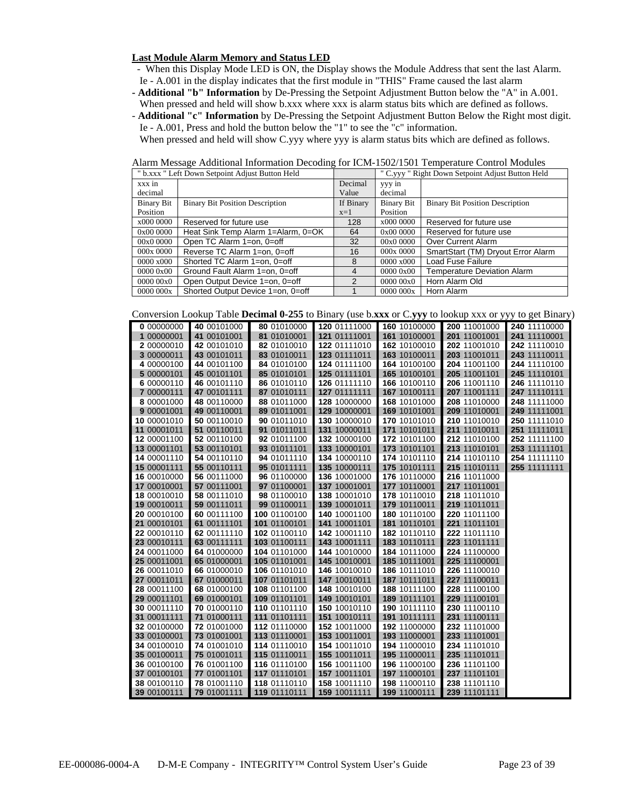#### **Last Module Alarm Memory and Status LED**

- When this Display Mode LED is ON, the Display shows the Module Address that sent the last Alarm. Ie - A.001 in the display indicates that the first module in "THIS" Frame caused the last alarm
- **Additional "b" Information** by De-Pressing the Setpoint Adjustment Button below the "A" in A.001. When pressed and held will show b.xxx where xxx is alarm status bits which are defined as follows.
- **Additional "c" Information** by De-Pressing the Setpoint Adjustment Button Below the Right most digit. Ie - A.001, Press and hold the button below the "1" to see the "c" information.

When pressed and held will show C.yyy where yyy is alarm status bits which are defined as follows.

Alarm Message Additional Information Decoding for ICM-1502/1501 Temperature Control Modules

|                   | " b.xxx " Left Down Setpoint Adjust Button Held |               | " C.yyy " Right Down Setpoint Adjust Button Held |                                        |  |
|-------------------|-------------------------------------------------|---------------|--------------------------------------------------|----------------------------------------|--|
| xxx in            |                                                 | Decimal       | yyy in                                           |                                        |  |
| decimal           |                                                 | Value         | decimal                                          |                                        |  |
| <b>Binary Bit</b> | <b>Binary Bit Position Description</b>          | If Binary     | Binary Bit                                       | <b>Binary Bit Position Description</b> |  |
| Position          |                                                 | $x=1$         | Position                                         |                                        |  |
| x000 0000         | Reserved for future use                         | 128           | x000 0000                                        | Reserved for future use                |  |
| 0x00 0000         | Heat Sink Temp Alarm 1=Alarm, 0=OK              | 64            | 0x000000                                         | Reserved for future use                |  |
| 00x0 0000         | Open TC Alarm 1=on, 0=off                       | 32            | 00x00000                                         | Over Current Alarm                     |  |
| 000x0000          | Reverse TC Alarm 1=on, 0=off                    | 16            | 000x0000                                         | SmartStart (TM) Dryout Error Alarm     |  |
| $0000 \times 000$ | Shorted TC Alarm 1=on, 0=off                    | 8             | $0000 \times 000$                                | <b>Load Fuse Failure</b>               |  |
| 000000000         | Ground Fault Alarm 1=on, 0=off                  | 4             | 000000000                                        | <b>Temperature Deviation Alarm</b>     |  |
| 00000000          | Open Output Device 1=on, 0=off                  | $\mathcal{P}$ | 000000000                                        | Horn Alarm Old                         |  |
| 0000 000x         | Shorted Output Device 1=on, 0=off               |               | 0000000x                                         | Horn Alarm                             |  |

Conversion Lookup Table **Decimal 0-255** to Binary (use b.**xxx** or C.**yyy** to lookup xxx or yyy to get Binary)

| Conversion Loord |             | There <b>Declinion</b> $\sigma$ <b>EVE</b> to Dinary (last 0.2.2.2.4 or 0.9, <i>J</i> J to lookup AAA or <i>J</i> J J to get Dinary |              |              |              |              |
|------------------|-------------|-------------------------------------------------------------------------------------------------------------------------------------|--------------|--------------|--------------|--------------|
| 0 00000000       | 40 00101000 | 80 01010000                                                                                                                         | 120 01111000 | 160 10100000 | 200 11001000 | 240 11110000 |
| 1 00000001       | 41 00101001 | 81 01010001                                                                                                                         | 121 01111001 | 161 10100001 | 201 11001001 | 241 11110001 |
| 2 00000010       | 42 00101010 | 82 01010010                                                                                                                         | 122 01111010 | 162 10100010 | 202 11001010 | 242 11110010 |
| 3 00000011       | 43 00101011 | 83 01010011                                                                                                                         | 123 01111011 | 163 10100011 | 203 11001011 | 243 11110011 |
| 4 00000100       | 44 00101100 | 84 01010100                                                                                                                         | 124 01111100 | 164 10100100 | 204 11001100 | 244 11110100 |
| 5 00000101       | 45 00101101 | 85 01010101                                                                                                                         | 125 01111101 | 165 10100101 | 205 11001101 | 245 11110101 |
| 6 00000110       | 46 00101110 | 86 01010110                                                                                                                         | 126 01111110 | 166 10100110 | 206 11001110 | 246 11110110 |
| 7 00000111       | 47 00101111 | 87 01010111                                                                                                                         | 127 01111111 | 167 10100111 | 207 11001111 | 247 11110111 |
| 8 00001000       | 48 00110000 | 88 01011000                                                                                                                         | 128 10000000 | 168 10101000 | 208 11010000 | 248 11111000 |
| 9 00001001       | 49 00110001 | 89 01011001                                                                                                                         | 129 10000001 | 169 10101001 | 209 11010001 | 249 11111001 |
| 10 00001010      | 50 00110010 | 90 01011010                                                                                                                         | 130 10000010 | 170 10101010 | 210 11010010 | 250 11111010 |
| 11 00001011      | 51 00110011 | 91 01011011                                                                                                                         | 131 10000011 | 171 10101011 | 211 11010011 | 251 11111011 |
| 12 00001100      | 52 00110100 | 92 01011100                                                                                                                         | 132 10000100 | 172 10101100 | 212 11010100 | 252 11111100 |
| 13 00001101      | 53 00110101 | 93 01011101                                                                                                                         | 133 10000101 | 173 10101101 | 213 11010101 | 253 11111101 |
| 14 00001110      | 54 00110110 | 94 01011110                                                                                                                         | 134 10000110 | 174 10101110 | 214 11010110 | 254 11111110 |
| 15 00001111      | 55 00110111 | 95 01011111                                                                                                                         | 135 10000111 | 175 10101111 | 215 11010111 | 255 11111111 |
| 16 00010000      | 56 00111000 | 96 01100000                                                                                                                         | 136 10001000 | 176 10110000 | 216 11011000 |              |
| 17 00010001      | 57 00111001 | 97 01100001                                                                                                                         | 137 10001001 | 177 10110001 | 217 11011001 |              |
| 18 00010010      | 58 00111010 | 98 01100010                                                                                                                         | 138 10001010 | 178 10110010 | 218 11011010 |              |
| 19 00010011      | 59 00111011 | 99 01100011                                                                                                                         | 139 10001011 | 179 10110011 | 219 11011011 |              |
| 20 00010100      | 60 00111100 | 100 01100100                                                                                                                        | 140 10001100 | 180 10110100 | 220 11011100 |              |
| 21 00010101      | 61 00111101 | 101 01100101                                                                                                                        | 141 10001101 | 181 10110101 | 221 11011101 |              |
| 22 00010110      | 62 00111110 | 102 01100110                                                                                                                        | 142 10001110 | 182 10110110 | 222 11011110 |              |
| 23 00010111      | 63 00111111 | 103 01100111                                                                                                                        | 143 10001111 | 183 10110111 | 223 11011111 |              |
| 24 00011000      | 64 01000000 | 104 01101000                                                                                                                        | 144 10010000 | 184 10111000 | 224 11100000 |              |
| 25 00011001      | 65 01000001 | 105 01101001                                                                                                                        | 145 10010001 | 185 10111001 | 225 11100001 |              |
| 26 00011010      | 66 01000010 | 106 01101010                                                                                                                        | 146 10010010 | 186 10111010 | 226 11100010 |              |
| 27 00011011      | 67 01000011 | 107 01101011                                                                                                                        | 147 10010011 | 187 10111011 | 227 11100011 |              |
| 28 00011100      | 68 01000100 | 108 01101100                                                                                                                        | 148 10010100 | 188 10111100 | 228 11100100 |              |
| 29 00011101      | 69 01000101 | 109 01101101                                                                                                                        | 149 10010101 | 189 10111101 | 229 11100101 |              |
| 30 00011110      | 70 01000110 | 110 01101110                                                                                                                        | 150 10010110 | 190 10111110 | 230 11100110 |              |
| 31 00011111      | 71 01000111 | 111 01101111                                                                                                                        | 151 10010111 | 191 10111111 | 231 11100111 |              |
| 32 00100000      | 72 01001000 | 112 01110000                                                                                                                        | 152 10011000 | 192 11000000 | 232 11101000 |              |
| 33 00100001      | 73 01001001 | 113 01110001                                                                                                                        | 153 10011001 | 193 11000001 | 233 11101001 |              |
| 34 00100010      | 74 01001010 | 114 01110010                                                                                                                        | 154 10011010 | 194 11000010 | 234 11101010 |              |
| 35 00100011      | 75 01001011 | 115 01110011                                                                                                                        | 155 10011011 | 195 11000011 | 235 11101011 |              |
| 36 00100100      | 76 01001100 | 116 01110100                                                                                                                        | 156 10011100 | 196 11000100 | 236 11101100 |              |
| 37 00100101      | 77 01001101 | 117 01110101                                                                                                                        | 157 10011101 | 197 11000101 | 237 11101101 |              |
| 38 00100110      | 78 01001110 | 118 01110110                                                                                                                        | 158 10011110 | 198 11000110 | 238 11101110 |              |
| 39 00100111      | 79 01001111 | 119 01110111                                                                                                                        | 159 10011111 | 199 11000111 | 239 11101111 |              |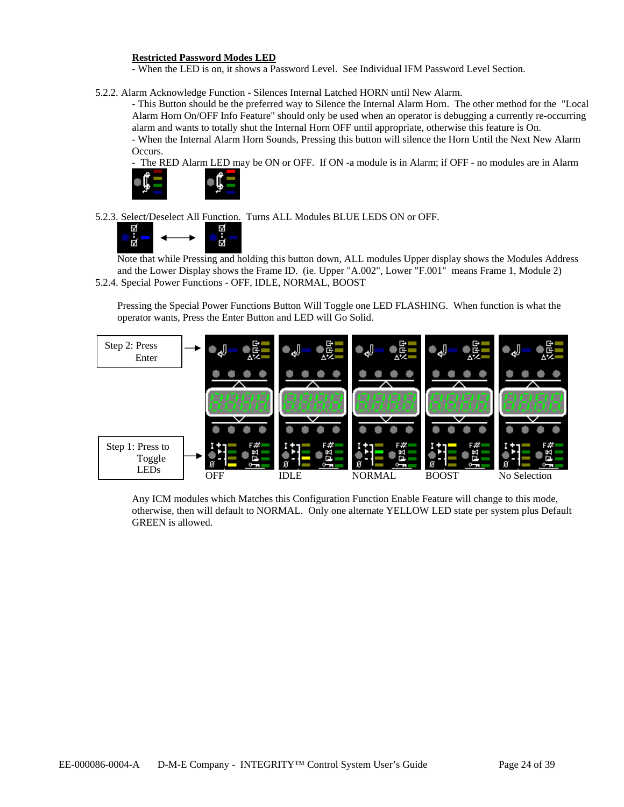#### **Restricted Password Modes LED**

- When the LED is on, it shows a Password Level. See Individual IFM Password Level Section.

5.2.2. Alarm Acknowledge Function - Silences Internal Latched HORN until New Alarm.

- This Button should be the preferred way to Silence the Internal Alarm Horn. The other method for the "Local Alarm Horn On/OFF Info Feature" should only be used when an operator is debugging a currently re-occurring alarm and wants to totally shut the Internal Horn OFF until appropriate, otherwise this feature is On.

- When the Internal Alarm Horn Sounds, Pressing this button will silence the Horn Until the Next New Alarm Occurs.

- The RED Alarm LED may be ON or OFF. If ON -a module is in Alarm; if OFF - no modules are in Alarm



5.2.3. Select/Deselect All Function. Turns ALL Modules BLUE LEDS ON or OFF.



 $\overline{N}$ <br>Note that while Pressing and holding this button down, ALL modules Upper display shows the Modules Address and the Lower Display shows the Frame ID. (ie. Upper "A.002", Lower "F.001" means Frame 1, Module 2) 5.2.4. Special Power Functions - OFF, IDLE, NORMAL, BOOST

Pressing the Special Power Functions Button Will Toggle one LED FLASHING. When function is what the operator wants, Press the Enter Button and LED will Go Solid.



Any ICM modules which Matches this Configuration Function Enable Feature will change to this mode, otherwise, then will default to NORMAL. Only one alternate YELLOW LED state per system plus Default GREEN is allowed.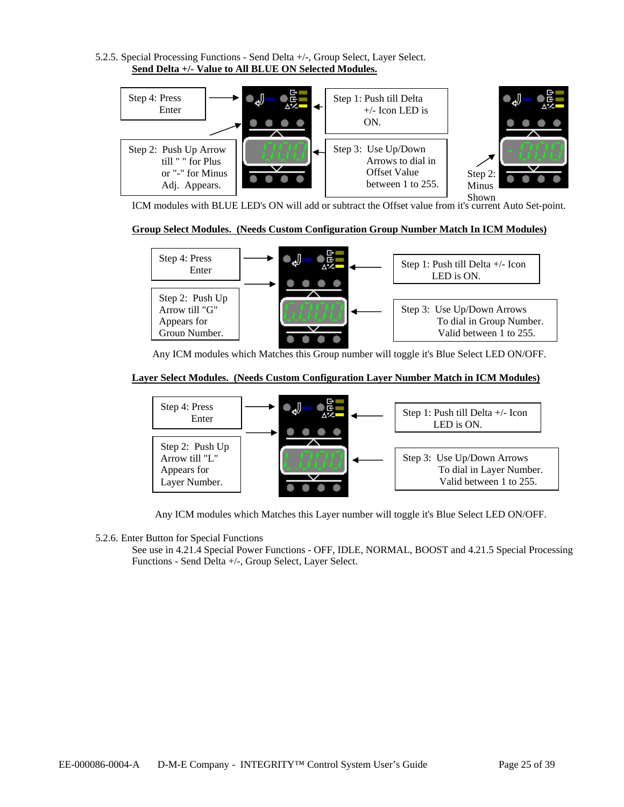5.2.5. Special Processing Functions - Send Delta +/-, Group Select, Layer Select. **Send Delta +/- Value to All BLUE ON Selected Modules.** 



ICM modules with BLUE LED's ON will add or subtract the Offset value from it's current Auto Set-point.

## **Group Select Modules. (Needs Custom Configuration Group Number Match In ICM Modules)**



Any ICM modules which Matches this Group number will toggle it's Blue Select LED ON/OFF.

## **Layer Select Modules. (Needs Custom Configuration Layer Number Match in ICM Modules)**



Any ICM modules which Matches this Layer number will toggle it's Blue Select LED ON/OFF.

5.2.6. Enter Button for Special Functions

See use in 4.21.4 Special Power Functions - OFF, IDLE, NORMAL, BOOST and 4.21.5 Special Processing Functions - Send Delta +/-, Group Select, Layer Select.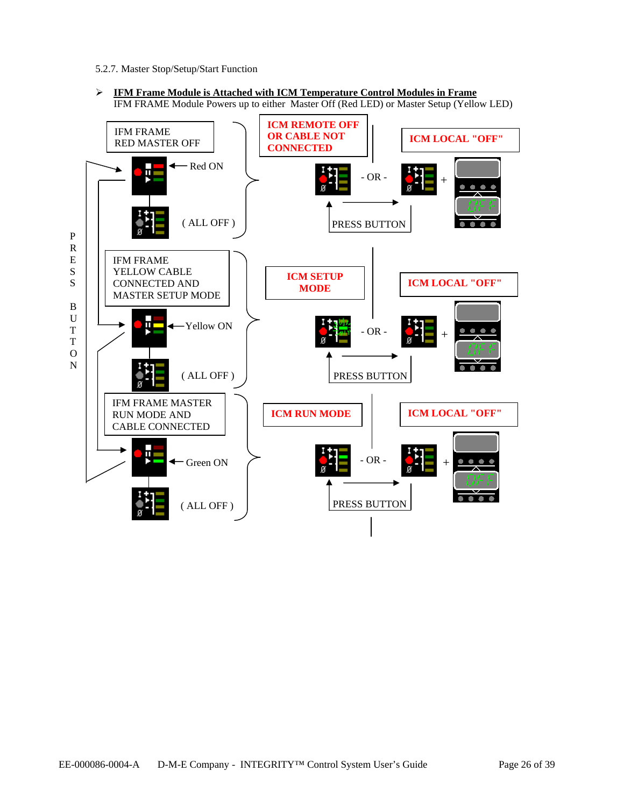- 5.2.7. Master Stop/Setup/Start Function
- ¾ **IFM Frame Module is Attached with ICM Temperature Control Modules in Frame**  IFM FRAME Module Powers up to either Master Off (Red LED) or Master Setup (Yellow LED)

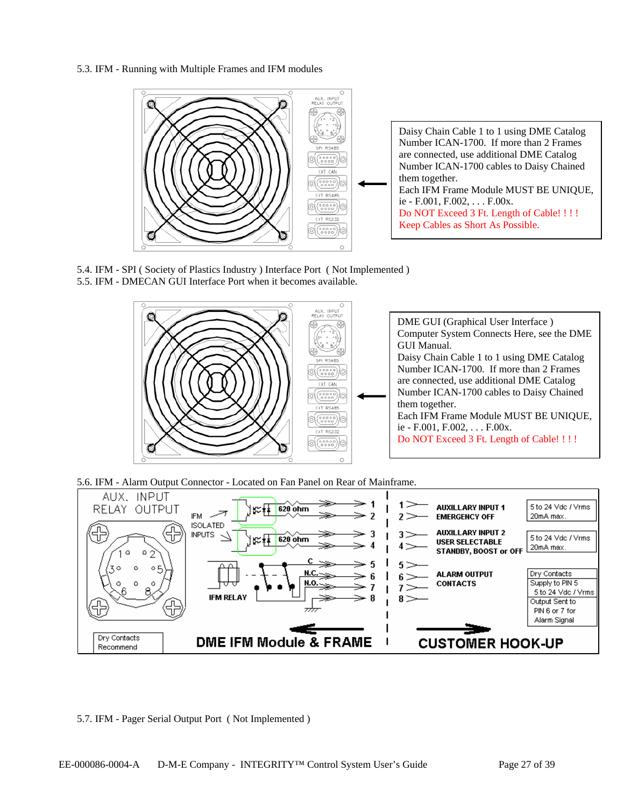5.3. IFM - Running with Multiple Frames and IFM modules



5.4. IFM - SPI ( Society of Plastics Industry ) Interface Port ( Not Implemented ) 5.5. IFM - DMECAN GUI Interface Port when it becomes available.



5.6. IFM - Alarm Output Connector - Located on Fan Panel on Rear of Mainframe.



5.7. IFM - Pager Serial Output Port ( Not Implemented )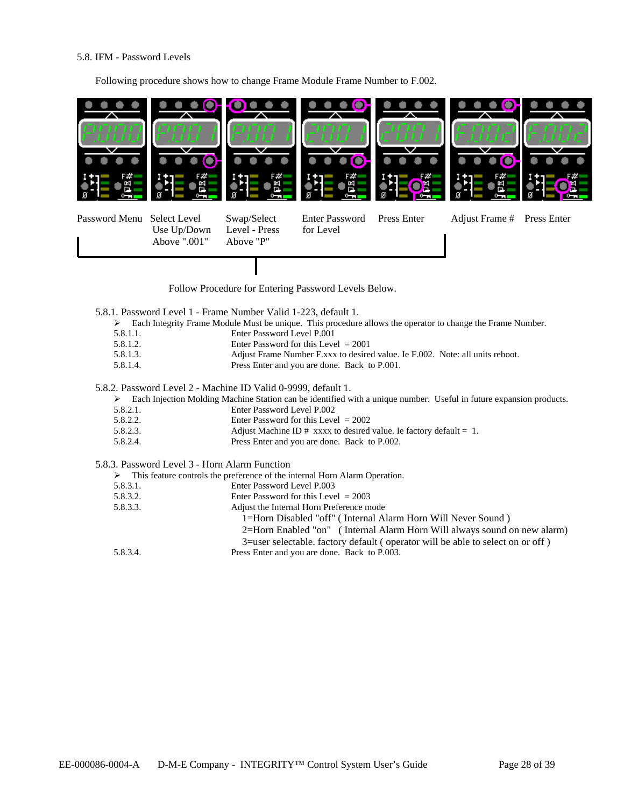#### 5.8. IFM - Password Levels

Following procedure shows how to change Frame Module Frame Number to F.002.



Follow Procedure for Entering Password Levels Below.

- 5.8.1. Password Level 1 Frame Number Valid 1-223, default 1.
	- ¾ Each Integrity Frame Module Must be unique. This procedure allows the operator to change the Frame Number.
	- 5.8.1.1. Enter Password Level P.001
	- 5.8.1.2. Enter Password for this Level = 2001
	- 5.8.1.3. Adjust Frame Number F.xxx to desired value. Ie F.002. Note: all units reboot.
	- 5.8.1.4. Press Enter and you are done. Back to P.001.

#### 5.8.2. Password Level 2 - Machine ID Valid 0-9999, default 1.

¾ Each Injection Molding Machine Station can be identified with a unique number. Useful in future expansion products.

- 5.8.2.1. Enter Password Level P.002
	- 5.8.2.2. Enter Password for this Level = 2002
	- 5.8.2.3. Adjust Machine ID # xxxx to desired value. Ie factory default = 1.
	- 5.8.2.4. Press Enter and you are done. Back to P.002.

#### 5.8.3. Password Level 3 - Horn Alarm Function

¾ This feature controls the preference of the internal Horn Alarm Operation.

5.8.3.1. Enter Password Level P.003

| 5.8.3.2. | Enter Password for this Level $= 2003$ |
|----------|----------------------------------------|
|          |                                        |

- 5.8.3.3. Adjust the Internal Horn Preference mode
	- 1=Horn Disabled "off" ( Internal Alarm Horn Will Never Sound )
	- 2=Horn Enabled "on" ( Internal Alarm Horn Will always sound on new alarm)
	- 3=user selectable. factory default ( operator will be able to select on or off )
- 5.8.3.4. Press Enter and you are done. Back to P.003.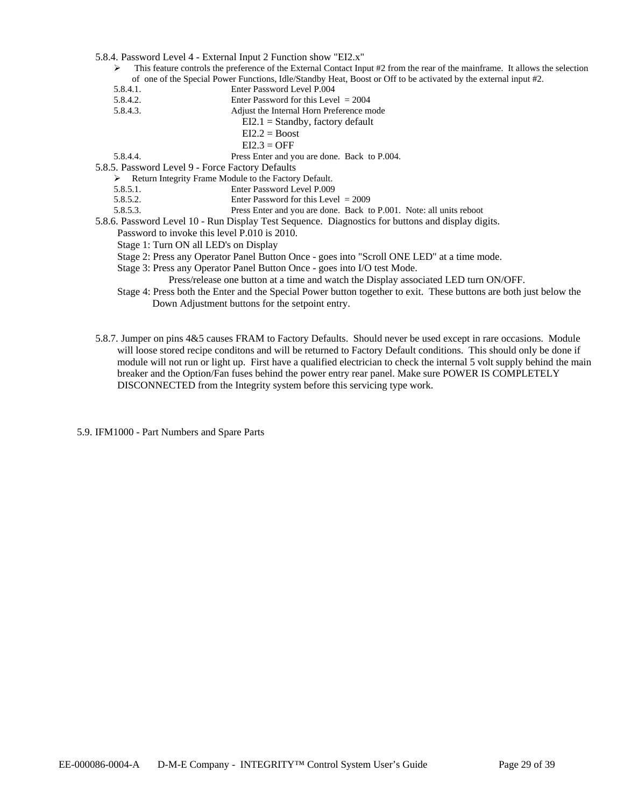- 5.8.4. Password Level 4 External Input 2 Function show "EI2.x"
	- ¾ This feature controls the preference of the External Contact Input #2 from the rear of the mainframe. It allows the selection of one of the Special Power Functions, Idle/Standby Heat, Boost or Off to be activated by the external input #2.
	- 5.8.4.1. Enter Password Level P.004<br>5.8.4.2. Enter Password for this Leve
		- Enter Password for this Level  $= 2004$
	- 5.8.4.3. Adjust the Internal Horn Preference mode
		- $EI2.1 =$ Standby, factory default
			- $EI2.2 = Boost$ 
				- $EI2.3 = OFF$

5.8.4.4. Press Enter and you are done. Back to P.004.

5.8.5. Password Level 9 - Force Factory Defaults

¾ Return Integrity Frame Module to the Factory Default.

- 5.8.5.1. Enter Password Level P.009
- 5.8.5.2. Enter Password for this Level = 2009
- 5.8.5.3. Press Enter and you are done. Back to P.001. Note: all units reboot

5.8.6. Password Level 10 - Run Display Test Sequence. Diagnostics for buttons and display digits.

- Password to invoke this level P.010 is 2010.
- Stage 1: Turn ON all LED's on Display
- Stage 2: Press any Operator Panel Button Once goes into "Scroll ONE LED" at a time mode.
- Stage 3: Press any Operator Panel Button Once goes into I/O test Mode.
	- Press/release one button at a time and watch the Display associated LED turn ON/OFF.
- Stage 4: Press both the Enter and the Special Power button together to exit. These buttons are both just below the Down Adjustment buttons for the setpoint entry.
- 5.8.7. Jumper on pins 4&5 causes FRAM to Factory Defaults. Should never be used except in rare occasions. Module will loose stored recipe conditons and will be returned to Factory Default conditions. This should only be done if module will not run or light up. First have a qualified electrician to check the internal 5 volt supply behind the main breaker and the Option/Fan fuses behind the power entry rear panel. Make sure POWER IS COMPLETELY DISCONNECTED from the Integrity system before this servicing type work.

5.9. IFM1000 - Part Numbers and Spare Parts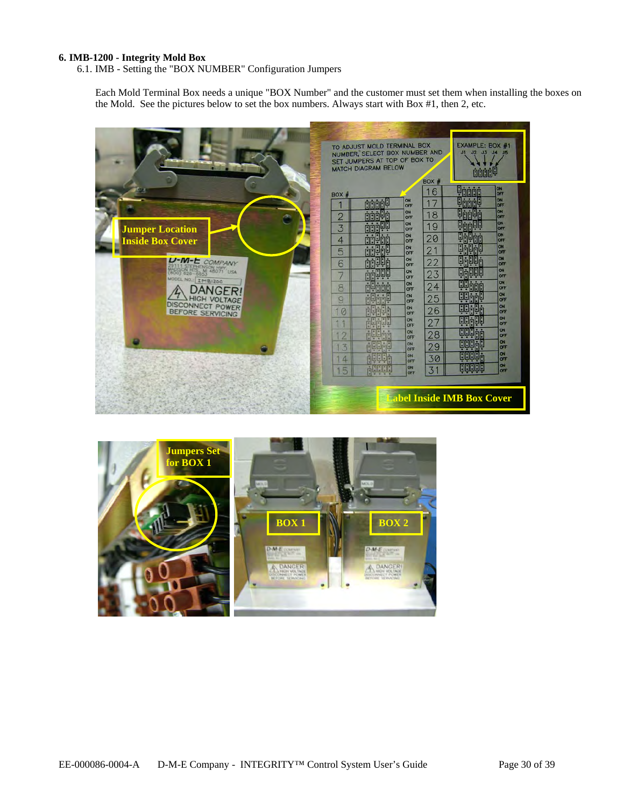#### **6. IMB-1200 - Integrity Mold Box**

6.1. IMB - Setting the "BOX NUMBER" Configuration Jumpers

Each Mold Terminal Box needs a unique "BOX Number" and the customer must set them when installing the boxes on the Mold. See the pictures below to set the box numbers. Always start with Box #1, then 2, etc.



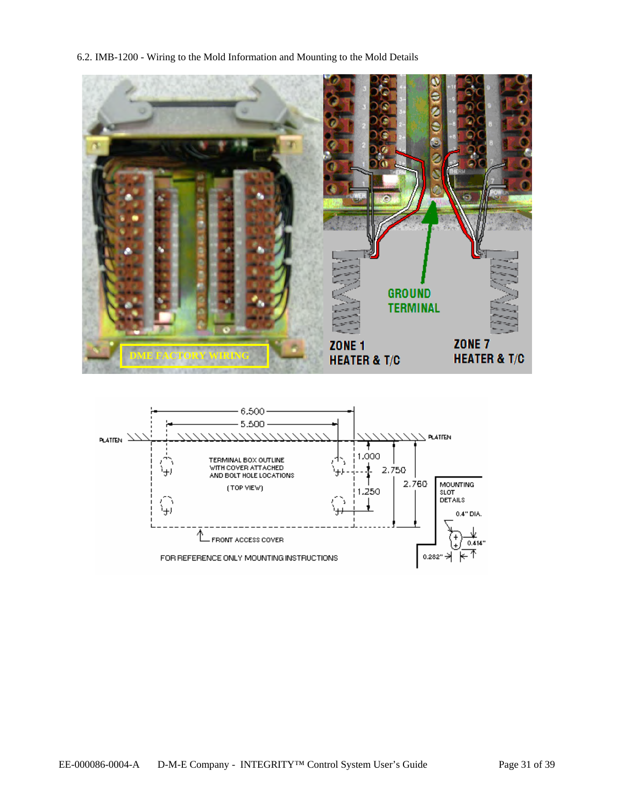6.2. IMB-1200 - Wiring to the Mold Information and Mounting to the Mold Details



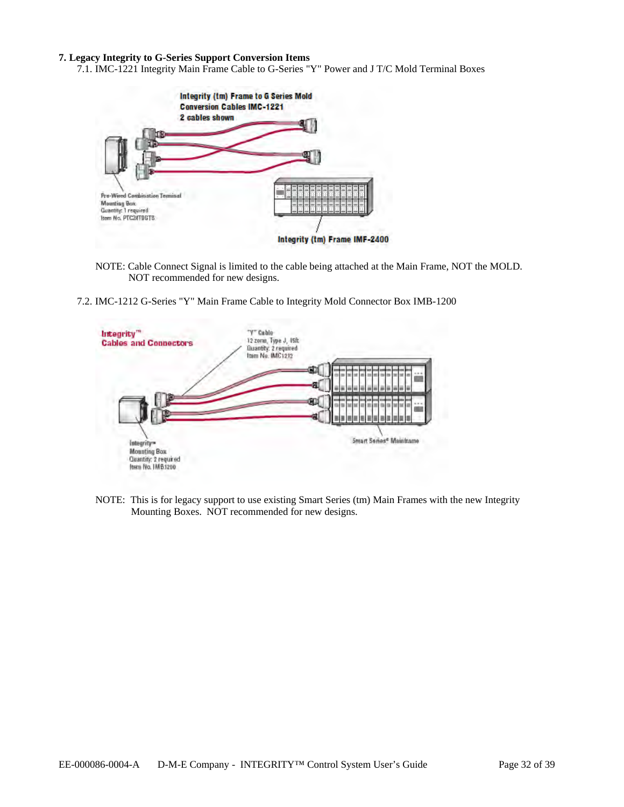#### **7. Legacy Integrity to G-Series Support Conversion Items**

7.1. IMC-1221 Integrity Main Frame Cable to G-Series "Y" Power and J T/C Mold Terminal Boxes



NOTE: Cable Connect Signal is limited to the cable being attached at the Main Frame, NOT the MOLD. NOT recommended for new designs.

7.2. IMC-1212 G-Series "Y" Main Frame Cable to Integrity Mold Connector Box IMB-1200



NOTE: This is for legacy support to use existing Smart Series (tm) Main Frames with the new Integrity Mounting Boxes. NOT recommended for new designs.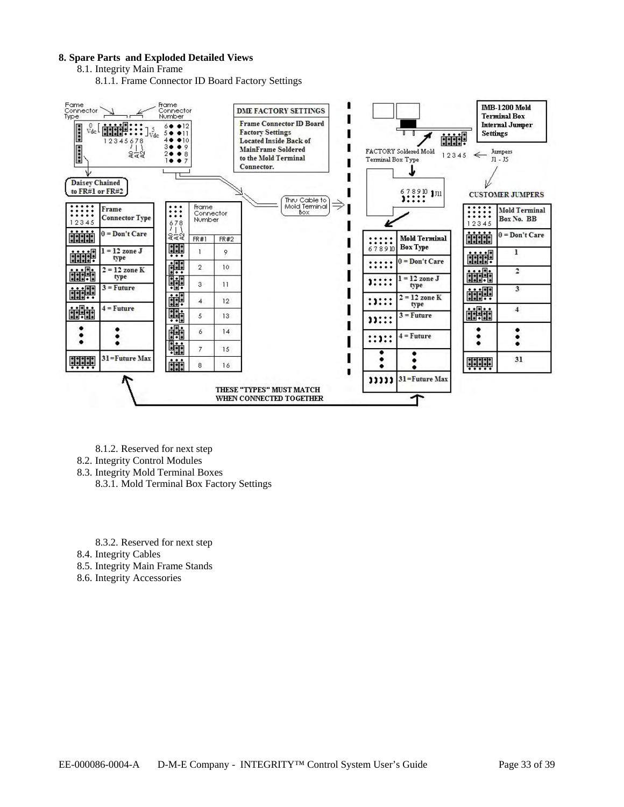#### **8. Spare Parts and Exploded Detailed Views**

8.1. Integrity Main Frame

8.1.1. Frame Connector ID Board Factory Settings



- 8.1.2. Reserved for next step
- 8.2. Integrity Control Modules
- 8.3. Integrity Mold Terminal Boxes
	- 8.3.1. Mold Terminal Box Factory Settings

8.3.2. Reserved for next step

8.4. Integrity Cables

8.5. Integrity Main Frame Stands

8.6. Integrity Accessories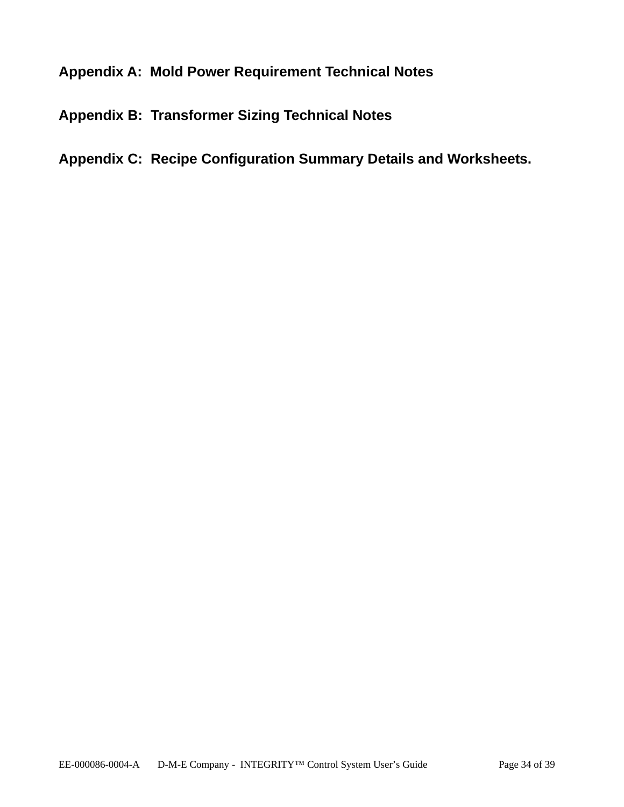## **Appendix A: Mold Power Requirement Technical Notes**

## **Appendix B: Transformer Sizing Technical Notes**

## **Appendix C: Recipe Configuration Summary Details and Worksheets.**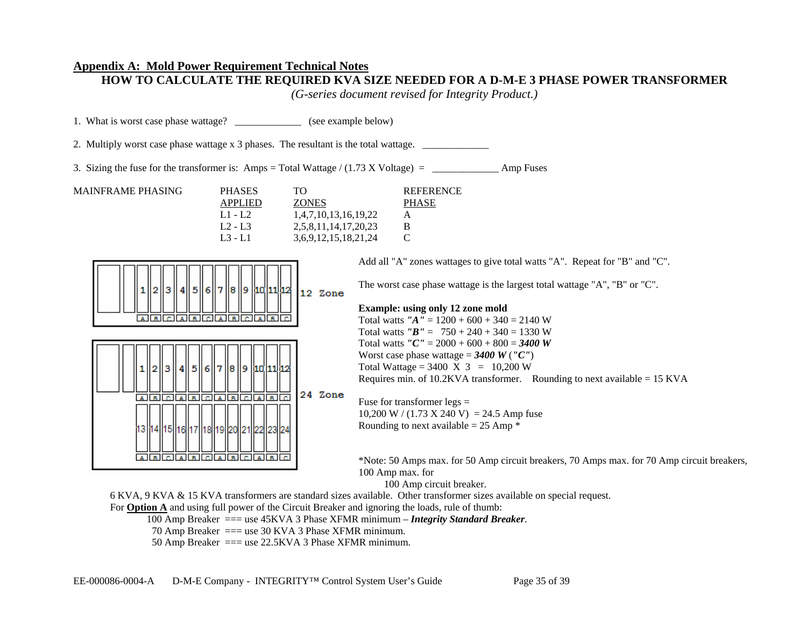## **Appendix A: Mold Power Requirement Technical Notes**

**HOW TO CALCULATE THE REQUIRED KVA SIZE NEEDED FOR A D-M-E 3 PHASE POWER TRANSFORMER** 

*(G-series document revised for Integrity Product.)* 

| 1. What is worst case phase wattage?                                                                                                                                              |                                                                                                                                                                             | (see example below)                                                                                                                                                                                                                                                                                                                                             |  |  |  |  |  |  |
|-----------------------------------------------------------------------------------------------------------------------------------------------------------------------------------|-----------------------------------------------------------------------------------------------------------------------------------------------------------------------------|-----------------------------------------------------------------------------------------------------------------------------------------------------------------------------------------------------------------------------------------------------------------------------------------------------------------------------------------------------------------|--|--|--|--|--|--|
| 2. Multiply worst case phase wattage x 3 phases. The resultant is the total wattage.                                                                                              |                                                                                                                                                                             |                                                                                                                                                                                                                                                                                                                                                                 |  |  |  |  |  |  |
|                                                                                                                                                                                   |                                                                                                                                                                             | Amp Fuses                                                                                                                                                                                                                                                                                                                                                       |  |  |  |  |  |  |
| <b>MAINFRAME PHASING</b>                                                                                                                                                          | <b>PHASES</b><br><b>TO</b><br><b>ZONES</b><br><b>APPLIED</b><br>$L1 - L2$<br>1,4,7,10,13,16,19,22<br>$L2 - L3$<br>2,5,8,11,14,17,20,23<br>$L3 - L1$<br>3,6,9,12,15,18,21,24 | <b>REFERENCE</b><br><b>PHASE</b><br>A<br>B<br>$\mathcal{C}$                                                                                                                                                                                                                                                                                                     |  |  |  |  |  |  |
|                                                                                                                                                                                   | 1  2  3  4  5  6  7  8  9  10  11  2<br>12 Zone<br><u> alalalalalalalalalala</u>                                                                                            | Add all "A" zones wattages to give total watts "A". Repeat for "B" and "C".<br>The worst case phase wattage is the largest total wattage "A", "B" or "C".<br><b>Example: using only 12 zone mold</b><br>Total watts " $A'' = 1200 + 600 + 340 = 2140$ W<br>Total watts $"B" = 750 + 240 + 340 = 1330$ W                                                         |  |  |  |  |  |  |
|                                                                                                                                                                                   | 1  2  3  4  5  6  7  8  9  10  11  2<br>24 Zone<br><u>a a ciala ciala a ciala d</u><br>13  14  15  16  17  18  19  20  21  22  23  24 <br>A B C A B C A B C A B C           | Total watts " $C'' = 2000 + 600 + 800 = 3400$ W<br>Worst case phase wattage = $3400 W('C')$<br>Total Wattage = $3400 \text{ X } 3 = 10,200 \text{ W}$<br>Requires min. of 10.2KVA transformer. Rounding to next available = $15$ KVA<br>Fuse for transformer $legs =$<br>10,200 W / (1.73 X 240 V) = 24.5 Amp fuse<br>Rounding to next available = $25$ Amp $*$ |  |  |  |  |  |  |
| *Note: 50 Amps max. for 50 Amp circuit breakers, 70 Amps max. for 70 Amp circuit breakers,<br>100 Amp max. for<br>100 Amp circuit breaker.<br>$\cdots$ $\cdots$ $\cdots$ $\cdots$ |                                                                                                                                                                             |                                                                                                                                                                                                                                                                                                                                                                 |  |  |  |  |  |  |

6 KVA, 9 KVA & 15 KVA transformers are standard sizes available. Other transformer sizes available on special request.

For **Option A** and using full power of the Circuit Breaker and ignoring the loads, rule of thumb:

100 Amp Breaker === use 45KVA 3 Phase XFMR minimum – *Integrity Standard Breaker*.

- 70 Amp Breaker === use 30 KVA 3 Phase XFMR minimum.
- 50 Amp Breaker === use 22.5KVA 3 Phase XFMR minimum.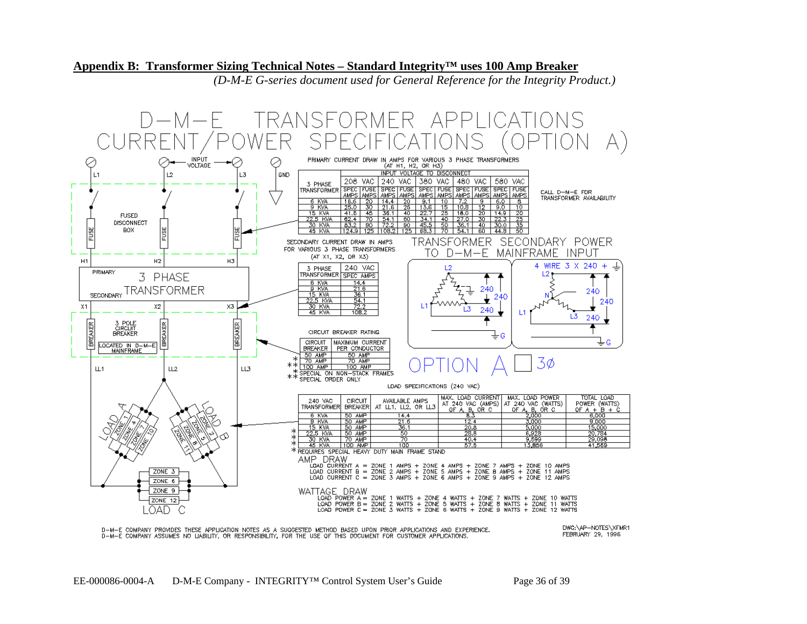#### **Appendix B: Transformer Sizing Technical Notes – Standard Integrity™ uses 100 Amp Breaker**

*(D-M-E G-series document used for General Reference for the Integrity Product.)* 



D-M-E COMPANY PROVIDES THESE APPLICATION NOTES AS A SUGGESTED METHOD BASED UPON PRIOR APPLICATIONS AND EXPERIENCE.<br>D-M-E COMPANY ASSUMES NO LIABILITY, OR RESPONSIBILITY, FOR THE USE OF THIS DOCUMENT FOR CUSTOMER APPLICATIO

DWG:\AP-NOTES\XFMR1 FEBRUARY 29, 1996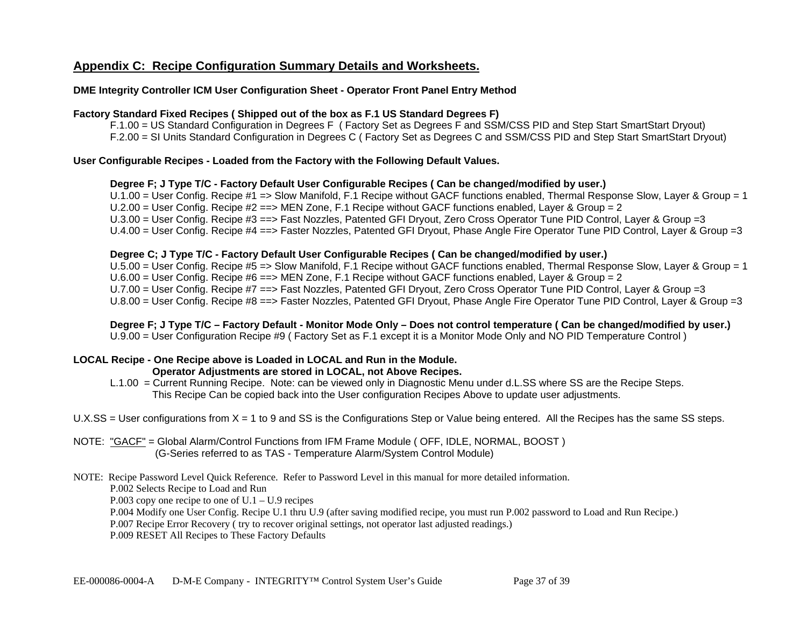## **Appendix C: Recipe Configuration Summary Details and Worksheets.**

## **DME Integrity Controller ICM User Configuration Sheet - Operator Front Panel Entry Method**

#### **Factory Standard Fixed Recipes ( Shipped out of the box as F.1 US Standard Degrees F)**

F.1.00 = US Standard Configuration in Degrees F ( Factory Set as Degrees F and SSM/CSS PID and Step Start SmartStart Dryout) F.2.00 = SI Units Standard Configuration in Degrees C ( Factory Set as Degrees C and SSM/CSS PID and Step Start SmartStart Dryout)

### **User Configurable Recipes - Loaded from the Factory with the Following Default Values.**

## **Degree F; J Type T/C - Factory Default User Configurable Recipes ( Can be changed/modified by user.)**

U.1.00 = User Config. Recipe #1 => Slow Manifold, F.1 Recipe without GACF functions enabled, Thermal Response Slow, Layer & Group = 1 U.2.00 = User Config. Recipe #2 ==> MEN Zone, F.1 Recipe without GACF functions enabled, Layer & Group = 2 U.3.00 = User Config. Recipe #3 ==> Fast Nozzles, Patented GFI Dryout, Zero Cross Operator Tune PID Control, Layer & Group =3 U.4.00 = User Config. Recipe #4 ==> Faster Nozzles, Patented GFI Dryout, Phase Angle Fire Operator Tune PID Control, Layer & Group =3

#### **Degree C; J Type T/C - Factory Default User Configurable Recipes ( Can be changed/modified by user.)**

U.5.00 = User Config. Recipe #5 => Slow Manifold, F.1 Recipe without GACF functions enabled, Thermal Response Slow, Layer & Group = 1 U.6.00 = User Config. Recipe #6 ==> MEN Zone, F.1 Recipe without GACF functions enabled, Layer & Group = 2 U.7.00 = User Config. Recipe #7 ==> Fast Nozzles, Patented GFI Dryout, Zero Cross Operator Tune PID Control, Layer & Group =3 U.8.00 = User Config. Recipe #8 ==> Faster Nozzles, Patented GFI Dryout, Phase Angle Fire Operator Tune PID Control, Layer & Group =3

**Degree F; J Type T/C – Factory Default - Monitor Mode Only – Does not control temperature ( Can be changed/modified by user.)**  U.9.00 = User Configuration Recipe #9 ( Factory Set as F.1 except it is a Monitor Mode Only and NO PID Temperature Control )

#### **LOCAL Recipe - One Recipe above is Loaded in LOCAL and Run in the Module. Operator Adjustments are stored in LOCAL, not Above Recipes.**

 L.1.00 = Current Running Recipe. Note: can be viewed only in Diagnostic Menu under d.L.SS where SS are the Recipe Steps. This Recipe Can be copied back into the User configuration Recipes Above to update user adjustments.

U.X.SS = User configurations from  $X = 1$  to 9 and SS is the Configurations Step or Value being entered. All the Recipes has the same SS steps.

NOTE: "GACF" = Global Alarm/Control Functions from IFM Frame Module ( OFF, IDLE, NORMAL, BOOST ) (G-Series referred to as TAS - Temperature Alarm/System Control Module)

#### NOTE: Recipe Password Level Quick Reference. Refer to Password Level in this manual for more detailed information.

P.002 Selects Recipe to Load and Run

P.003 copy one recipe to one of  $U.1 - U.9$  recipes

P.004 Modify one User Config. Recipe U.1 thru U.9 (after saving modified recipe, you must run P.002 password to Load and Run Recipe.)

P.007 Recipe Error Recovery ( try to recover original settings, not operator last adjusted readings.)

P.009 RESET All Recipes to These Factory Defaults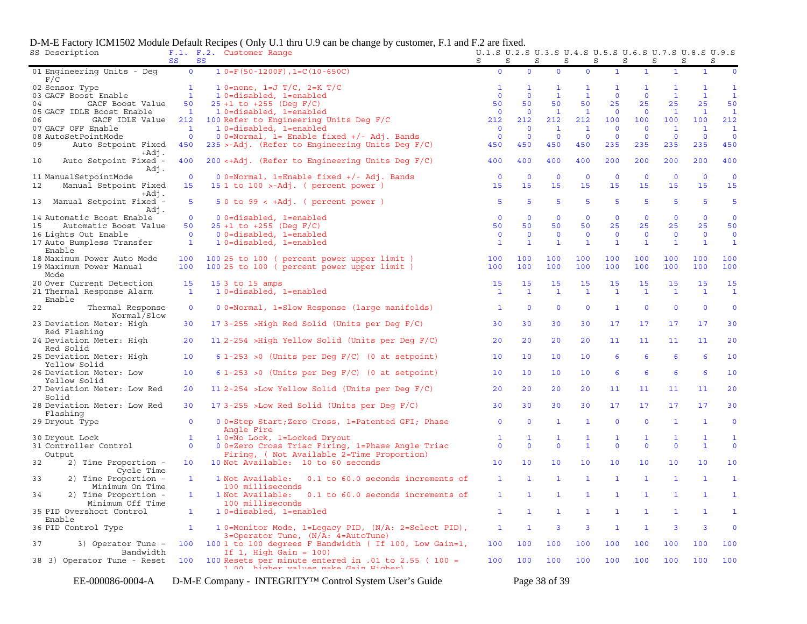|    | SS Description                                                | SS                 | SS | F.1. F.2. Customer Range                                                                                                  | U.1.S U.2.S U.3.S U.4.S U.5.S U.6.S U.7.S U.8.S U.9.S<br>S | S                  | S<br>S             |                         | S                  | S<br>S             | S                  | S                  |                         |
|----|---------------------------------------------------------------|--------------------|----|---------------------------------------------------------------------------------------------------------------------------|------------------------------------------------------------|--------------------|--------------------|-------------------------|--------------------|--------------------|--------------------|--------------------|-------------------------|
|    | 01 Engineering Units - Deg<br>F/C                             | $\mathbf 0$        |    | $1 0=F(50-1200F)$ , $1=C(10-650C)$                                                                                        | $\mathbf{O}$                                               | $\mathbf{0}$       | $\mathbf{O}$       | $\mathbf{0}$            | $\mathbf{1}$       | $\mathbf{1}$       | $\mathbf{1}$       | $\mathbf{1}$       | $\mathbf 0$             |
|    | 02 Sensor Type                                                | $\mathbf{1}$       |    | 1 0=none, 1=J $T/C$ , 2=K $T/C$                                                                                           | 1                                                          | 1                  | 1                  | $\mathbf{1}$            | 1                  | $\mathbf{1}$       | 1                  | $\mathbf{1}$       | $\mathbf{1}$            |
|    | 03 GACF Boost Enable                                          | $\mathbf{1}$       |    | 10=disabled, 1=enabled                                                                                                    | $\mathbf{0}$                                               | $\mathbf{0}$       | $\mathbf{1}$       | $\mathbf{1}$            | $\mathbf{0}$       | $\mathbf{0}$       | $\mathbf{1}$       | $\mathbf{1}$       | $\mathbf{1}$            |
| 04 | GACF Boost Value                                              | 50                 |    | $25 + 1$ to $+255$ (Deg F/C)                                                                                              | 50                                                         | 50                 | 50                 | 50                      | 25                 | 25                 | 25                 | 25                 | 50                      |
|    | 05 GACF IDLE Boost Enable                                     | $\mathbf{1}$       |    | 1 0=disabled, 1=enabled                                                                                                   | $\overline{0}$                                             | $\Omega$           | $\mathbf{1}$       | $\mathbf{1}$            | $\mathbf{0}$       | $\mathbf{0}$       | $\mathbf{1}$       | $\mathbf{1}$       | $\mathbf{1}$            |
| 06 | GACF IDLE Value                                               | 212                |    | 100 Refer to Engineering Units Deg F/C                                                                                    | 212                                                        | 212                | 212                | 212                     | 100                | 100                | 100                | 100                | 212                     |
|    | 07 GACF OFF Enable                                            | $\overline{1}$     |    | 1 0=disabled, 1=enabled                                                                                                   | $\overline{\phantom{0}}$                                   | $\mathbf{0}$       | $\mathbf{1}$       | $\mathbf{1}$            | $\mathbf{0}$       | $\mathbf{0}$       | $\mathbf{1}$       | $\mathbf{1}$       | $\mathbf{1}$            |
|    | 08 AutoSetPointMode                                           | $\overline{0}$     |    | $0$ 0=Normal, 1= Enable fixed +/- Adj. Bands                                                                              | $\overline{0}$                                             | $\mathbf 0$        | $\mathbf 0$        | $\overline{0}$          | $\mathbf 0$        | $\mathbf{0}$       | $\Omega$           | $\mathbf 0$        | $\mathbf 0$             |
| 09 | Auto Setpoint Fixed<br>$+Ad\overline{1}$ .                    | 450                |    | $235$ >-Adj. (Refer to Engineering Units Deg F/C)                                                                         | 450                                                        | 450                | 450                | 450                     | 235                | 235                | 235                | 235                | 450                     |
| 10 | Auto Setpoint Fixed -<br>Adj.                                 | 400                |    | $200 \leq A \leq d$ . (Refer to Engineering Units Deg F/C)                                                                | 400                                                        | 400                | 400                | 400                     | 200                | 200                | 200                | 200                | 400                     |
|    | 11 ManualSetpointMode                                         | $\overline{0}$     |    | $0$ 0=Normal, 1=Enable fixed +/- Adj. Bands                                                                               | $\overline{0}$                                             | $\overline{0}$     | $\overline{0}$     | $\mathbf{0}$            | $\mathbf{0}$       | $\mathbf{0}$       | $\mathbf{0}$       | $\mathbf{0}$       | $\overline{0}$          |
| 12 | Manual Setpoint Fixed<br>+Adj.                                | 15                 |    | 15 1 to 100 >-Adj. ( percent power )                                                                                      | 15                                                         | 15                 | 15                 | 15                      | 15                 | 15                 | 15                 | 15                 | 15                      |
| 13 | Manual Setpoint Fixed -<br>Adj.                               | 5                  |    | $50$ to $99 < +Adj$ . ( percent power )                                                                                   | 5                                                          | 5                  | 5                  | 5                       | 5                  | $5\phantom{1}$     | 5                  | $5\phantom{1}$     | 5                       |
|    | 14 Automatic Boost Enable                                     | $\overline{0}$     |    | 0 0=disabled, 1=enabled                                                                                                   | $\mathbf 0$                                                | $\mathbf{0}$       | $\mathbf{0}$       | $\mathbf{0}$            | $\mathbf 0$        | $\mathbf 0$        | $\mathbf{0}$       | $\mathbf{0}$       | $\mathbf{0}$            |
| 15 | Automatic Boost Value                                         | 50                 |    | $25 + 1$ to $+255$ (Deg F/C)                                                                                              | 50                                                         | 50                 | 50                 | 50                      | 25                 | 25                 | 25                 | 25                 | 50                      |
|    | 16 Lights Out Enable                                          | $\overline{0}$     |    | 0 0=disabled, 1=enabled                                                                                                   | $\mathbf 0$                                                | $\mathbf{0}$       | $\mathbf{0}$       | $\mathbf{0}$            | $\mathbf{0}$       | $\mathbf{0}$       | $\mathbf 0$        | $\mathbf 0$        | $\overline{\mathbf{0}}$ |
|    | 17 Auto Bumpless Transfer<br>Enable                           | $\mathbf{1}$       |    | 10=disabled, 1=enabled                                                                                                    | $\mathbf{1}$                                               | $\mathbf{1}$       | $\mathbf{1}$       | $\mathbf{1}$            | $\mathbf{1}$       | $\mathbf{1}$       | $\mathbf{1}$       | $\mathbf{1}$       | $\mathbf{1}$            |
|    | 18 Maximum Power Auto Mode<br>19 Maximum Power Manual<br>Mode | 100<br>100         |    | 100 25 to 100 ( percent power upper limit )<br>100 25 to 100 ( percent power upper limit )                                | 100<br>100                                                 | 100<br>100         | 100<br>100         | 100<br>100              | 100<br>100         | 100<br>100         | 100<br>100         | 100<br>100         | 100<br>100              |
|    | 20 Over Current Detection<br>21 Thermal Response Alarm        | 15<br>$\mathbf{1}$ |    | 15 3 to 15 amps<br>1 0=disabled, 1=enabled                                                                                | 15<br>$\mathbf{1}$                                         | 15<br>$\mathbf{1}$ | 15<br>$\mathbf{1}$ | 15<br>$\mathbf{1}$      | 15<br>$\mathbf{1}$ | 15<br>$\mathbf{1}$ | 15<br>$\mathbf{1}$ | 15<br>$\mathbf{1}$ | 15<br>$\mathbf{1}$      |
| 22 | Enable<br>Thermal Response                                    | $\mathbf 0$        |    | 0 0=Normal, 1=Slow Response (large manifolds)                                                                             | $\mathbf{1}$                                               | $\mathbf{0}$       | $\mathbf{0}$       | $\mathbf 0$             | $\mathbf{1}$       | $\overline{0}$     | $\mathbf{0}$       | $\mathbf{0}$       | $\mathbf 0$             |
|    | Normal/Slow<br>23 Deviation Meter: High                       | 30                 |    | 17 3-255 > High Red Solid (Units per Deg F/C)                                                                             | 30                                                         | 30                 | 30                 | 30                      | 17                 | 17                 | 17                 | 17                 | 30                      |
|    | Red Flashing<br>24 Deviation Meter: High                      | 20                 |    | 11 2-254 > High Yellow Solid (Units per Deg F/C)                                                                          | 20                                                         | 20                 | 20                 | 20                      | 11                 | 11                 | 11                 | 11                 | 20                      |
|    | Red Solid<br>25 Deviation Meter: High                         | 10                 |    | $6 1-253 > 0$ (Units per Deg F/C) (0 at setpoint)                                                                         | 10                                                         | 10                 | 10                 | 10                      | 6                  | 6                  | 6                  | 6                  | 10                      |
|    | Yellow Solid<br>26 Deviation Meter: Low                       | 10                 |    | $6$ 1-253 > 0 (Units per Deg F/C) (0 at setpoint)                                                                         | 10                                                         | 10                 | 10                 | 10                      | 6                  | 6                  | 6                  | 6                  | 10                      |
|    | Yellow Solid<br>27 Deviation Meter: Low Red                   | 20                 |    | 11 2-254 >Low Yellow Solid (Units per Deg F/C)                                                                            | 20                                                         | 20                 | 20                 | 20                      | 11                 | 11                 | 11                 | 11                 | 20                      |
|    | Solid<br>28 Deviation Meter: Low Red                          | 30                 |    | 17 3-255 >Low Red Solid (Units per Deg F/C)                                                                               | 30                                                         | 30                 | 30                 | 30                      | 17                 | 17                 | 17                 | 17                 | 30                      |
|    | Flashing<br>29 Dryout Type                                    | $\mathbf{0}$       |    | 0 0=Step Start; Zero Cross, 1=Patented GFI; Phase                                                                         | $\mathbf{0}$                                               | $\mathbf{0}$       | $\mathbf{1}$       | $\mathbf{1}$            | $\mathbf 0$        | $\mathbf{0}$       | $\mathbf{1}$       | $\mathbf{1}$       | $\mathbf 0$             |
|    | 30 Dryout Lock                                                | $\mathbf{1}$       |    | Angle Fire<br>1 0=No Lock, 1=Locked Dryout                                                                                | 1                                                          | 1                  | 1                  | $\mathbf{1}$            | 1                  | $\mathbf{1}$       | 1                  | $\mathbf{1}$       | $\mathbf{1}$            |
|    | 31 Controller Control<br>Output                               | $\mathbf{0}$       |    | 0 0=Zero Cross Triac Firing, 1=Phase Angle Triac<br>Firing, ( Not Available 2=Time Proportion)                            | $\mathbf{0}$                                               | $\mathbf{0}$       | $\mathbf{0}$       | $\mathbf{1}$            | $\mathbf 0$        | $\mathbf{0}$       | $\mathbf{0}$       | $\mathbf{1}$       | $\mathbf 0$             |
| 32 | 2) Time Proportion -<br>Cycle Time                            | 10 <sub>1</sub>    |    | 10 Not Available: 10 to 60 seconds                                                                                        | 10                                                         | 10                 | 10                 | 10                      | 10                 | 10                 | 10                 | 10                 | 10                      |
| 33 | 2) Time Proportion -<br>Minimum On Time                       | $\mathbf{1}$       |    | 1 Not Available:<br>0.1 to 60.0 seconds increments of<br>100 milliseconds                                                 | $\mathbf{1}$                                               | $\mathbf{1}$       | $\mathbf{1}$       | $\mathbf{1}$            | $\mathbf{1}$       | $\mathbf{1}$       | $\mathbf{1}$       | $\mathbf{1}$       | $\mathbf{1}$            |
| 34 | 2) Time Proportion -                                          | $\mathbf{1}$       |    | 1 Not Available:<br>0.1 to 60.0 seconds increments of<br>100 milliseconds                                                 | $\mathbf{1}$                                               | 1                  | $\mathbf{1}$       | $\mathbf{1}$            | 1                  | $\mathbf{1}$       | 1                  | $\mathbf{1}$       | $\mathbf{1}$            |
|    | Minimum Off Time<br>35 PID Overshoot Control                  | $\mathbf{1}$       |    | 10=disabled, 1=enabled                                                                                                    | $\mathbf{1}$                                               | $\mathbf{1}$       | $\mathbf{1}$       | $\mathbf{1}$            | $\mathbf{1}$       | $\mathbf{1}$       | $\mathbf{1}$       | $\mathbf{1}$       | $\mathbf{1}$            |
|    | Enable<br>36 PID Control Type                                 | $\mathbf{1}$       |    | 1 0=Monitor Mode, 1=Legacy PID, (N/A: 2=Select PID),                                                                      | $\mathbf{1}$                                               | $\mathbf{1}$       | 3                  | $\overline{\mathbf{3}}$ | 1                  | $\mathbf{1}$       | 3                  | 3                  | $\mathbf 0$             |
| 37 | 3) Operator Tune -                                            | 100                |    | $3 = Operator$ Tune, $(N/A: 4 = AutoTune)$<br>100 1 to 100 degrees F Bandwidth ( If 100, Low Gain=1,                      | 100                                                        | 100                | 100                | 100                     | 100                | 100                | 100                | 100                | 100                     |
|    | Bandwidth<br>38 3) Operator Tune - Reset                      | 100                |    | If $1$ , High Gain = 100)<br>100 Resets per minute entered in .01 to 2.55 ( 100 =<br>1 00 higher walues make Cain Higher) | 100                                                        | 100                | 100                | 100                     | 100                | 100                | 100                | 100                | 100                     |

#### D-M-E Factory ICM1502 Module Default Recipes ( Only U.1 thru U.9 can be change by customer, F.1 and F.2 are fixed.

EE-000086-0004-A D-M-E Company - INTEGRITY™ Control System User's Guide Page 38 of 39